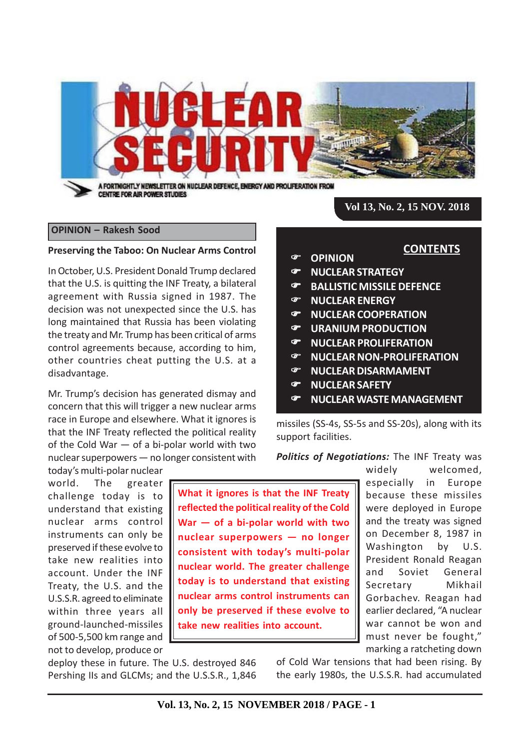

### **OPINION – Rakesh Sood**

#### **Preserving the Taboo: On Nuclear Arms Control**

In October, U.S. President Donald Trump declared that the U.S. is quitting the INF Treaty, a bilateral agreement with Russia signed in 1987. The decision was not unexpected since the U.S. has long maintained that Russia has been violating the treaty and Mr. Trump has been critical of arms control agreements because, according to him, other countries cheat putting the U.S. at a disadvantage.

Mr. Trump's decision has generated dismay and concern that this will trigger a new nuclear arms race in Europe and elsewhere. What it ignores is that the INF Treaty reflected the political reality of the Cold War — of a bi-polar world with two nuclear superpowers — no longer consistent with

today's multi-polar nuclear world. The greater challenge today is to understand that existing nuclear arms control instruments can only be preserved if these evolve to take new realities into account. Under the INF Treaty, the U.S. and the U.S.S.R. agreed to eliminate within three years all ground-launched-missiles of 500-5,500 km range and not to develop, produce or

**What it ignores is that the INF Treaty reflected the political reality of the Cold War — of a bi-polar world with two nuclear superpowers — no longer consistent with today's multi-polar nuclear world. The greater challenge today is to understand that existing nuclear arms control instruments can only be preserved if these evolve to take new realities into account.**

deploy these in future. The U.S. destroyed 846 Pershing IIs and GLCMs; and the U.S.S.R., 1,846

marking a ratcheting down of Cold War tensions that had been rising. By the early 1980s, the U.S.S.R. had accumulated

*Politics of Negotiations:* The INF Treaty was widely welcomed, especially in Europe because these missiles were deployed in Europe and the treaty was signed on December 8, 1987 in Washington by U.S. President Ronald Reagan and Soviet General Secretary Mikhail Gorbachev. Reagan had earlier declared, "A nuclear war cannot be won and must never be fought,"

**CONTENTS**

**OPINION**

- **NUCLEAR STRATEGY**
- **BALLISTIC MISSILE DEFENCE**
- **NUCLEAR ENERGY**
- **NUCLEAR COOPERATION**
- **URANIUM PRODUCTION**
- **NUCLEAR PROLIFERATION**
- **NUCLEAR NON-PROLIFERATION**
- **NUCLEAR DISARMAMENT**
- **NUCLEAR SAFETY**

support facilities.

**NUCLEAR WASTE MANAGEMENT**

missiles (SS-4s, SS-5s and SS-20s), along with its

**Vol. 13, No. 2, 15 NOVEMBER 2018 / PAGE - 1**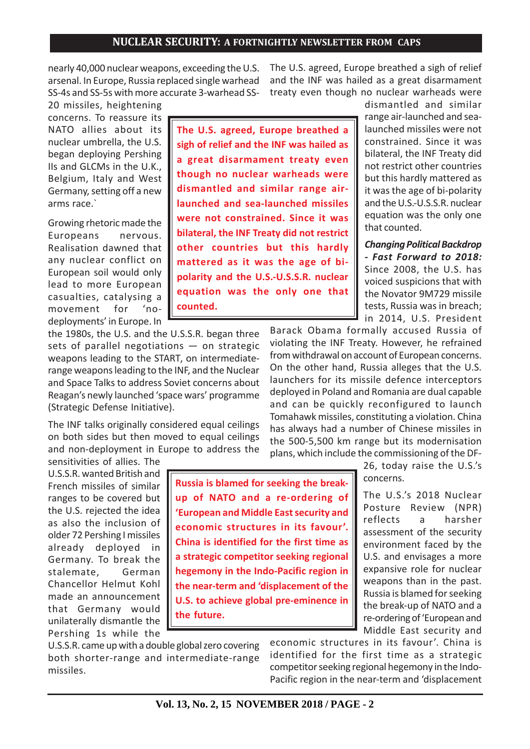nearly 40,000 nuclear weapons, exceeding the U.S. arsenal. In Europe, Russia replaced single warhead SS-4s and SS-5s with more accurate 3-warhead SS-

20 missiles, heightening concerns. To reassure its NATO allies about its nuclear umbrella, the U.S. began deploying Pershing IIs and GLCMs in the U.K., Belgium, Italy and West Germany, setting off a new arms race.`

Growing rhetoric made the Europeans nervous. Realisation dawned that any nuclear conflict on European soil would only lead to more European casualties, catalysing a movement for 'nodeployments' in Europe. In

**The U.S. agreed, Europe breathed a sigh of relief and the INF was hailed as a great disarmament treaty even though no nuclear warheads were dismantled and similar range airlaunched and sea-launched missiles were not constrained. Since it was bilateral, the INF Treaty did not restrict other countries but this hardly mattered as it was the age of bipolarity and the U.S.-U.S.S.R. nuclear equation was the only one that counted.**

the 1980s, the U.S. and the U.S.S.R. began three sets of parallel negotiations — on strategic weapons leading to the START, on intermediaterange weapons leading to the INF, and the Nuclear and Space Talks to address Soviet concerns about Reagan's newly launched 'space wars' programme (Strategic Defense Initiative).

The INF talks originally considered equal ceilings on both sides but then moved to equal ceilings and non-deployment in Europe to address the

sensitivities of allies. The U.S.S.R. wanted British and French missiles of similar ranges to be covered but the U.S. rejected the idea as also the inclusion of older 72 Pershing I missiles already deployed in Germany. To break the stalemate, German Chancellor Helmut Kohl made an announcement that Germany would unilaterally dismantle the Pershing 1s while the

**Russia is blamed for seeking the breakup of NATO and a re-ordering of 'European and Middle East security and economic structures in its favour'. China is identified for the first time as a strategic competitor seeking regional hegemony in the Indo-Pacific region in the near-term and 'displacement of the U.S. to achieve global pre-eminence in the future.**

U.S.S.R. came up with a double global zero covering both shorter-range and intermediate-range missiles.

The U.S. agreed, Europe breathed a sigh of relief and the INF was hailed as a great disarmament treaty even though no nuclear warheads were

> dismantled and similar range air-launched and sealaunched missiles were not constrained. Since it was bilateral, the INF Treaty did not restrict other countries but this hardly mattered as it was the age of bi-polarity and the U.S.-U.S.S.R. nuclear equation was the only one that counted.

*Changing Political Backdrop - Fast Forward to 2018:* Since 2008, the U.S. has voiced suspicions that with the Novator 9M729 missile tests, Russia was in breach; in 2014, U.S. President

Barack Obama formally accused Russia of violating the INF Treaty. However, he refrained from withdrawal on account of European concerns. On the other hand, Russia alleges that the U.S. launchers for its missile defence interceptors deployed in Poland and Romania are dual capable and can be quickly reconfigured to launch Tomahawk missiles, constituting a violation. China has always had a number of Chinese missiles in the 500-5,500 km range but its modernisation plans, which include the commissioning of the DF-

> 26, today raise the U.S.'s concerns.

The U.S.'s 2018 Nuclear Posture Review (NPR) reflects a harsher assessment of the security environment faced by the U.S. and envisages a more expansive role for nuclear weapons than in the past. Russia is blamed for seeking the break-up of NATO and a re-ordering of 'European and Middle East security and

economic structures in its favour'. China is identified for the first time as a strategic competitor seeking regional hegemony in the Indo-Pacific region in the near-term and 'displacement

**Vol. 13, No. 2, 15 NOVEMBER 2018 / PAGE - 2**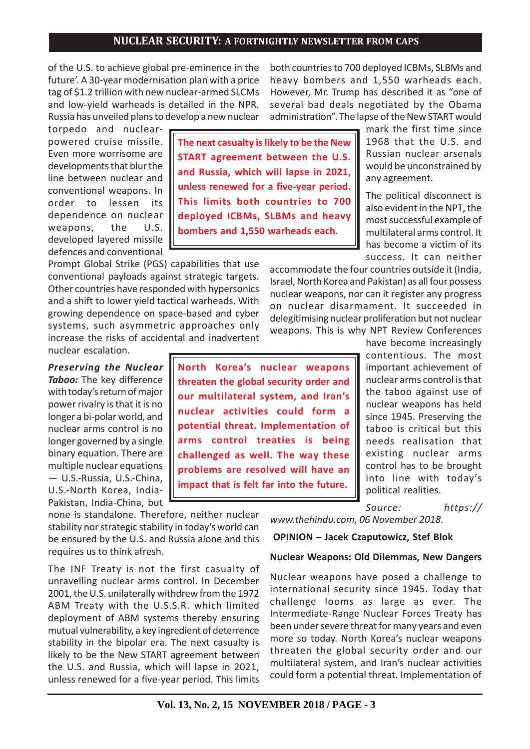of the U.S. to achieve global pre-eminence in the future'. A 30-year modernisation plan with a price tag of \$1.2 trillion with new nuclear-armed SLCMs and low-yield warheads is detailed in the NPR. Russia has unveiled plans to develop a new nuclear

torpedo and nuclearpowered cruise missile. Even more worrisome are developments that blur the line between nuclear and conventional weapons. In order to lessen its dependence on nuclear weapons, the U.S. developed layered missile defences and conventional

Prompt Global Strike (PGS) capabilities that use conventional payloads against strategic targets. Other countries have responded with hypersonics and a shift to lower yield tactical warheads. With growing dependence on space-based and cyber systems, such asymmetric approaches only increase the risks of accidental and inadvertent nuclear escalation.

*Preserving the Nuclear Taboo:* The key difference with today's return of major power rivalry is that it is no longer a bi-polar world, and nuclear arms control is no longer governed by a single binary equation. There are multiple nuclear equations — U.S.-Russia, U.S.-China, U.S.-North Korea, India-Pakistan, India-China, but

none is standalone. Therefore, neither nuclear stability nor strategic stability in today's world can be ensured by the U.S. and Russia alone and this requires us to think afresh.

The INF Treaty is not the first casualty of unravelling nuclear arms control. In December 2001, the U.S. unilaterally withdrew from the 1972 ABM Treaty with the U.S.S.R. which limited deployment of ABM systems thereby ensuring mutual vulnerability, a key ingredient of deterrence stability in the bipolar era. The next casualty is likely to be the New START agreement between the U.S. and Russia, which will lapse in 2021, unless renewed for a five-year period. This limits

both countries to 700 deployed ICBMs, SLBMs and heavy bombers and 1,550 warheads each. However, Mr. Trump has described it as "one of several bad deals negotiated by the Obama administration". The lapse of the New START would

> mark the first time since 1968 that the U.S. and Russian nuclear arsenals would be unconstrained by any agreement.

> The political disconnect is also evident in the NPT, the most successful example of multilateral arms control. It has become a victim of its success. It can neither

accommodate the four countries outside it (India, Israel, North Korea and Pakistan) as all four possess nuclear weapons, nor can it register any progress on nuclear disarmament. It succeeded in delegitimising nuclear proliferation but not nuclear weapons. This is why NPT Review Conferences

> have become increasingly contentious. The most important achievement of nuclear arms control is that the taboo against use of nuclear weapons has held since 1945. Preserving the taboo is critical but this needs realisation that existing nuclear arms control has to be brought into line with today's political realities.

*Source: https://*

*www.thehindu.com, 06 November 2018.*

 **OPINION – Jacek Czaputowicz, Stef Blok**

#### **Nuclear Weapons: Old Dilemmas, New Dangers**

Nuclear weapons have posed a challenge to international security since 1945. Today that challenge looms as large as ever. The Intermediate-Range Nuclear Forces Treaty has been under severe threat for many years and even more so today. North Korea's nuclear weapons threaten the global security order and our multilateral system, and Iran's nuclear activities could form a potential threat. Implementation of

**The next casualty is likely to be the New START agreement between the U.S. and Russia, which will lapse in 2021, unless renewed for a five-year period. This limits both countries to 700 deployed ICBMs, SLBMs and heavy bombers and 1,550 warheads each.**

**North Korea's nuclear weapons threaten the global security order and our multilateral system, and Iran's nuclear activities could form a potential threat. Implementation of arms control treaties is being challenged as well. The way these problems are resolved will have an impact that is felt far into the future.**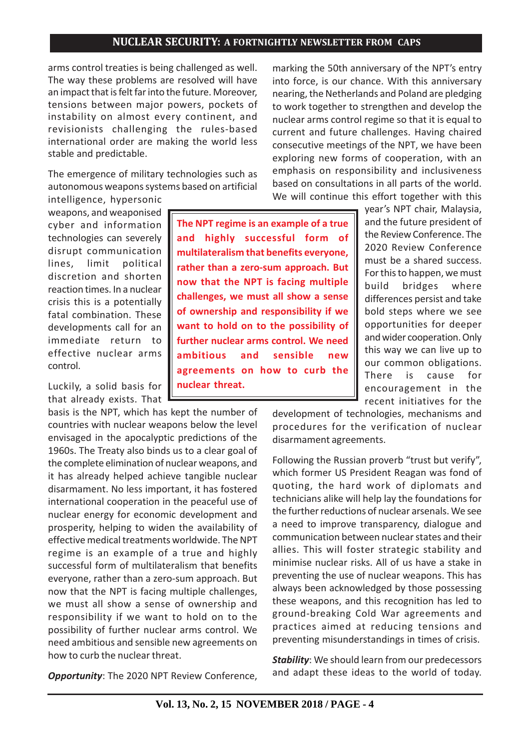arms control treaties is being challenged as well. The way these problems are resolved will have an impact that is felt far into the future. Moreover, tensions between major powers, pockets of instability on almost every continent, and revisionists challenging the rules-based international order are making the world less stable and predictable.

The emergence of military technologies such as autonomous weapons systems based on artificial

intelligence, hypersonic weapons, and weaponised cyber and information technologies can severely disrupt communication lines, limit political discretion and shorten reaction times. In a nuclear crisis this is a potentially fatal combination. These developments call for an immediate return to effective nuclear arms control.

Luckily, a solid basis for that already exists. That

basis is the NPT, which has kept the number of countries with nuclear weapons below the level envisaged in the apocalyptic predictions of the 1960s. The Treaty also binds us to a clear goal of the complete elimination of nuclear weapons, and it has already helped achieve tangible nuclear disarmament. No less important, it has fostered international cooperation in the peaceful use of nuclear energy for economic development and prosperity, helping to widen the availability of effective medical treatments worldwide. The NPT regime is an example of a true and highly successful form of multilateralism that benefits everyone, rather than a zero-sum approach. But now that the NPT is facing multiple challenges, we must all show a sense of ownership and responsibility if we want to hold on to the possibility of further nuclear arms control. We need ambitious and sensible new agreements on how to curb the nuclear threat.

*Opportunity*: The 2020 NPT Review Conference,

marking the 50th anniversary of the NPT's entry into force, is our chance. With this anniversary nearing, the Netherlands and Poland are pledging to work together to strengthen and develop the nuclear arms control regime so that it is equal to current and future challenges. Having chaired consecutive meetings of the NPT, we have been exploring new forms of cooperation, with an emphasis on responsibility and inclusiveness based on consultations in all parts of the world. We will continue this effort together with this

**The NPT regime is an example of a true and highly successful form of multilateralism that benefits everyone, rather than a zero-sum approach. But now that the NPT is facing multiple challenges, we must all show a sense of ownership and responsibility if we want to hold on to the possibility of further nuclear arms control. We need ambitious and sensible new agreements on how to curb the nuclear threat.**

year's NPT chair, Malaysia, and the future president of the Review Conference. The 2020 Review Conference must be a shared success. For this to happen, we must build bridges where differences persist and take bold steps where we see opportunities for deeper and wider cooperation. Only this way we can live up to our common obligations. There is cause for encouragement in the recent initiatives for the

development of technologies, mechanisms and procedures for the verification of nuclear disarmament agreements.

Following the Russian proverb "trust but verify", which former US President Reagan was fond of quoting, the hard work of diplomats and technicians alike will help lay the foundations for the further reductions of nuclear arsenals. We see a need to improve transparency, dialogue and communication between nuclear states and their allies. This will foster strategic stability and minimise nuclear risks. All of us have a stake in preventing the use of nuclear weapons. This has always been acknowledged by those possessing these weapons, and this recognition has led to ground-breaking Cold War agreements and practices aimed at reducing tensions and preventing misunderstandings in times of crisis.

*Stability*: We should learn from our predecessors and adapt these ideas to the world of today.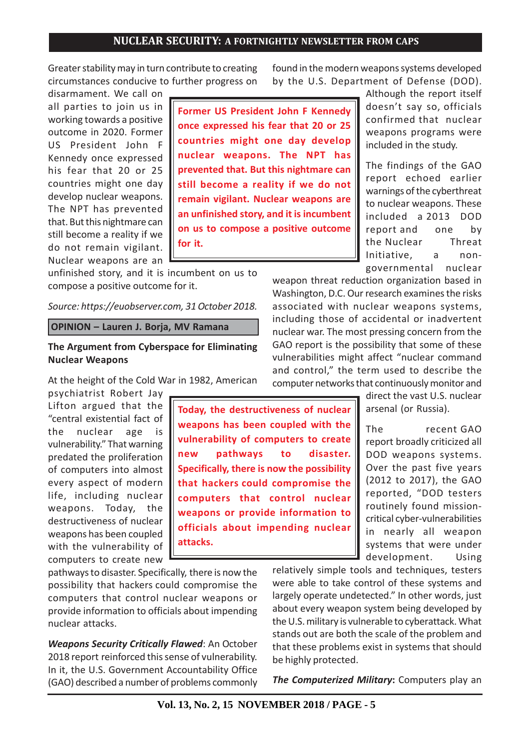Greater stability may in turn contribute to creating circumstances conducive to further progress on

disarmament. We call on all parties to join us in working towards a positive outcome in 2020. Former US President John F Kennedy once expressed his fear that 20 or 25 countries might one day develop nuclear weapons. The NPT has prevented that. But this nightmare can still become a reality if we do not remain vigilant. Nuclear weapons are an

**Former US President John F Kennedy once expressed his fear that 20 or 25 countries might one day develop nuclear weapons. The NPT has prevented that. But this nightmare can still become a reality if we do not remain vigilant. Nuclear weapons are an unfinished story, and it is incumbent on us to compose a positive outcome for it.**

unfinished story, and it is incumbent on us to compose a positive outcome for it.

*Source: https://euobserver.com, 31 October 2018.*

 **OPINION – Lauren J. Borja, MV Ramana**

### **The Argument from Cyberspace for Eliminating Nuclear Weapons**

At the height of the Cold War in 1982, American

psychiatrist Robert Jay Lifton argued that the "central existential fact of the nuclear age is vulnerability." That warning predated the proliferation of computers into almost every aspect of modern life, including nuclear weapons. Today, the destructiveness of nuclear weapons has been coupled with the vulnerability of computers to create new

pathways to disaster. Specifically, there is now the possibility that hackers could compromise the computers that control nuclear weapons or provide information to officials about impending nuclear attacks.

*Weapons Security Critically Flawed*: An October 2018 report reinforced this sense of vulnerability. In it, the U.S. Government Accountability Office (GAO) described a number of problems commonly

**Today, the destructiveness of nuclear weapons has been coupled with the vulnerability of computers to create new pathways to disaster. Specifically, there is now the possibility that hackers could compromise the computers that control nuclear weapons or provide information to officials about impending nuclear attacks.**

found in the modern weapons systems developed by the U.S. Department of Defense (DOD).

Although the report itself doesn't say so, officials confirmed that nuclear weapons programs were included in the study.

The findings of the GAO report echoed earlier warnings of the cyberthreat to nuclear weapons. These included a 2013 DOD report and one by the Nuclear Threat Initiative, a nongovernmental nuclear

weapon threat reduction organization based in Washington, D.C. Our research examines the risks associated with nuclear weapons systems, including those of accidental or inadvertent nuclear war. The most pressing concern from the GAO report is the possibility that some of these vulnerabilities might affect "nuclear command and control," the term used to describe the computer networks that continuously monitor and

> direct the vast U.S. nuclear arsenal (or Russia).

> The recent GAO report broadly criticized all DOD weapons systems. Over the past five years (2012 to 2017), the GAO reported, "DOD testers routinely found missioncritical cyber-vulnerabilities in nearly all weapon systems that were under development. Using

relatively simple tools and techniques, testers were able to take control of these systems and largely operate undetected." In other words, just about every weapon system being developed by the U.S. military is vulnerable to cyberattack. What stands out are both the scale of the problem and that these problems exist in systems that should be highly protected.

*The Computerized Military***:** Computers play an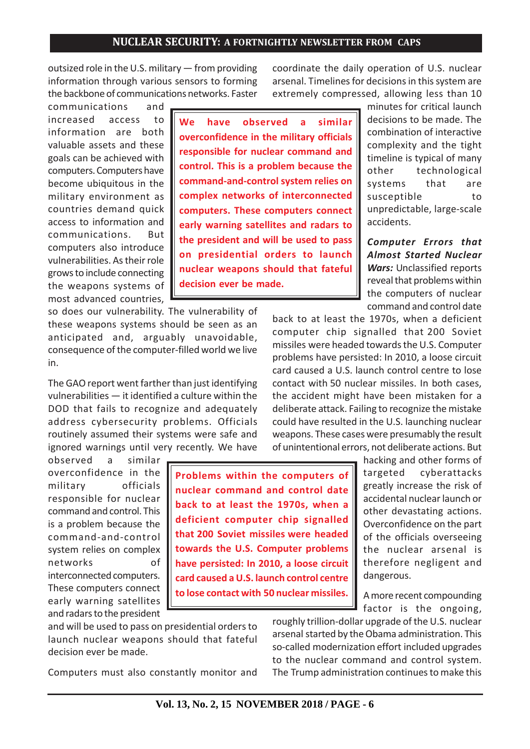outsized role in the U.S. military — from providing information through various sensors to forming the backbone of communications networks. Faster

communications and increased access to information are both valuable assets and these goals can be achieved with computers. Computers have become ubiquitous in the military environment as countries demand quick access to information and communications. But computers also introduce vulnerabilities. As their role grows to include connecting the weapons systems of most advanced countries,

**We have observed a similar overconfidence in the military officials responsible for nuclear command and control. This is a problem because the command-and-control system relies on complex networks of interconnected computers. These computers connect early warning satellites and radars to the president and will be used to pass on presidential orders to launch nuclear weapons should that fateful decision ever be made.**

so does our vulnerability. The vulnerability of these weapons systems should be seen as an anticipated and, arguably unavoidable, consequence of the computer-filled world we live in.

The GAO report went farther than just identifying vulnerabilities — it identified a culture within the DOD that fails to recognize and adequately address cybersecurity problems. Officials routinely assumed their systems were safe and ignored warnings until very recently. We have

observed a similar overconfidence in the military officials responsible for nuclear command and control. This is a problem because the command-and-control system relies on complex networks of interconnected computers. These computers connect early warning satellites and radars to the president

**Problems within the computers of nuclear command and control date back to at least the 1970s, when a deficient computer chip signalled that 200 Soviet missiles were headed towards the U.S. Computer problems have persisted: In 2010, a loose circuit card caused a U.S. launch control centre to lose contact with 50 nuclear missiles.**

and will be used to pass on presidential orders to launch nuclear weapons should that fateful decision ever be made.

Computers must also constantly monitor and

coordinate the daily operation of U.S. nuclear arsenal. Timelines for decisions in this system are extremely compressed, allowing less than 10

> minutes for critical launch decisions to be made. The combination of interactive complexity and the tight timeline is typical of many other technological systems that are susceptible to unpredictable, large-scale accidents.

> *Computer Errors that Almost Started Nuclear Wars:* Unclassified reports reveal that problems within the computers of nuclear command and control date

back to at least the 1970s, when a deficient computer chip signalled that 200 Soviet missiles were headed towards the U.S. Computer problems have persisted: In 2010, a loose circuit card caused a U.S. launch control centre to lose contact with 50 nuclear missiles. In both cases, the accident might have been mistaken for a deliberate attack. Failing to recognize the mistake could have resulted in the U.S. launching nuclear weapons. These cases were presumably the result of unintentional errors, not deliberate actions. But

> hacking and other forms of targeted cyberattacks greatly increase the risk of accidental nuclear launch or other devastating actions. Overconfidence on the part of the officials overseeing the nuclear arsenal is therefore negligent and dangerous.

> A more recent compounding factor is the ongoing,

roughly trillion-dollar upgrade of the U.S. nuclear arsenal started by the Obama administration. This so-called modernization effort included upgrades to the nuclear command and control system. The Trump administration continues to make this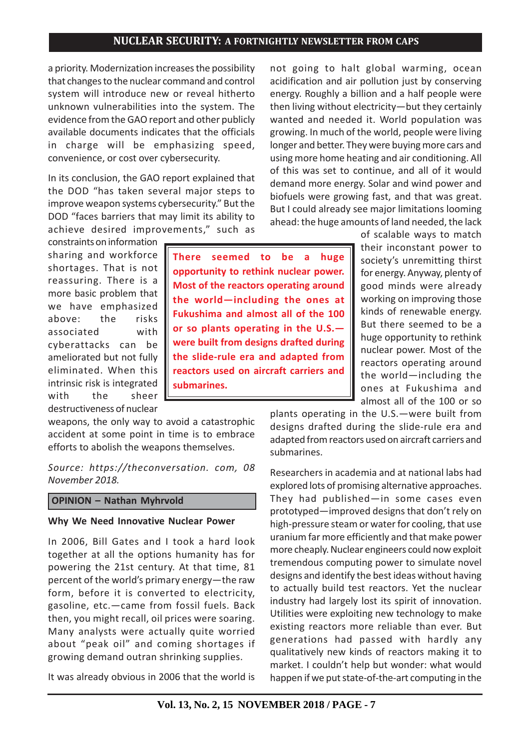**There seemed to be a huge opportunity to rethink nuclear power. Most of the reactors operating around the world—including the ones at Fukushima and almost all of the 100 or so plants operating in the U.S. were built from designs drafted during the slide-rule era and adapted from reactors used on aircraft carriers and**

a priority. Modernization increases the possibility that changes to the nuclear command and control system will introduce new or reveal hitherto unknown vulnerabilities into the system. The evidence from the GAO report and other publicly available documents indicates that the officials in charge will be emphasizing speed, convenience, or cost over cybersecurity.

In its conclusion, the GAO report explained that the DOD "has taken several major steps to improve weapon systems cybersecurity." But the DOD "faces barriers that may limit its ability to achieve desired improvements," such as

constraints on information sharing and workforce shortages. That is not reassuring. There is a more basic problem that we have emphasized above: the risks associated with cyberattacks can be ameliorated but not fully eliminated. When this intrinsic risk is integrated with the sheer destructiveness of nuclear

weapons, the only way to avoid a catastrophic accident at some point in time is to embrace efforts to abolish the weapons themselves.

**submarines.**

*Source: https://theconversation. com, 08 November 2018.*

#### **OPINION – Nathan Myhrvold**

#### **Why We Need Innovative Nuclear Power**

In 2006, Bill Gates and I took a hard look together at all the options humanity has for powering the 21st century. At that time, 81 percent of the world's primary energy—the raw form, before it is converted to electricity, gasoline, etc.—came from fossil fuels. Back then, you might recall, oil prices were soaring. Many analysts were actually quite worried about "peak oil" and coming shortages if growing demand outran shrinking supplies.

It was already obvious in 2006 that the world is

not going to halt global warming, ocean acidification and air pollution just by conserving energy. Roughly a billion and a half people were then living without electricity—but they certainly wanted and needed it. World population was growing. In much of the world, people were living longer and better. They were buying more cars and using more home heating and air conditioning. All of this was set to continue, and all of it would demand more energy. Solar and wind power and biofuels were growing fast, and that was great. But I could already see major limitations looming ahead: the huge amounts of land needed, the lack

> of scalable ways to match their inconstant power to society's unremitting thirst for energy. Anyway, plenty of good minds were already working on improving those kinds of renewable energy. But there seemed to be a huge opportunity to rethink nuclear power. Most of the reactors operating around the world—including the ones at Fukushima and almost all of the 100 or so

plants operating in the U.S.—were built from designs drafted during the slide-rule era and adapted from reactors used on aircraft carriers and submarines.

Researchers in academia and at national labs had explored lots of promising alternative approaches. They had published—in some cases even prototyped—improved designs that don't rely on high-pressure steam or water for cooling, that use uranium far more efficiently and that make power more cheaply. Nuclear engineers could now exploit tremendous computing power to simulate novel designs and identify the best ideas without having to actually build test reactors. Yet the nuclear industry had largely lost its spirit of innovation. Utilities were exploiting new technology to make existing reactors more reliable than ever. But generations had passed with hardly any qualitatively new kinds of reactors making it to market. I couldn't help but wonder: what would happen if we put state-of-the-art computing in the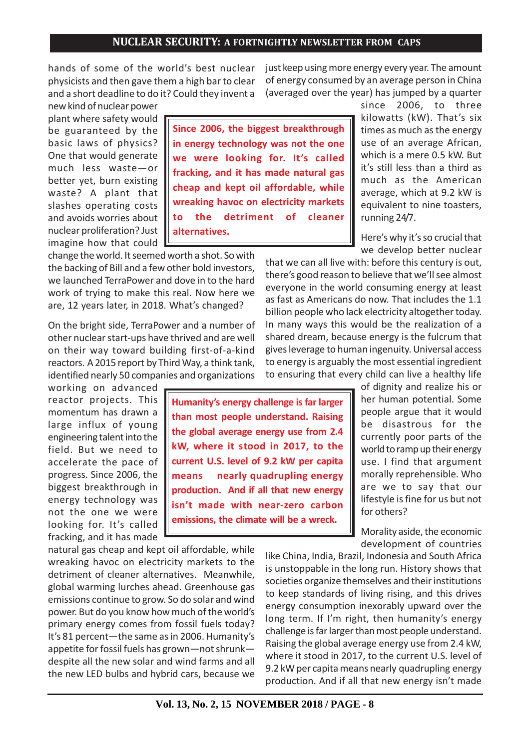hands of some of the world's best nuclear physicists and then gave them a high bar to clear and a short deadline to do it? Could they invent a

new kind of nuclear power plant where safety would be guaranteed by the basic laws of physics? One that would generate much less waste—or better yet, burn existing waste? A plant that slashes operating costs and avoids worries about nuclear proliferation? Just imagine how that could

change the world. It seemed worth a shot. So with the backing of Bill and a few other bold investors, we launched TerraPower and dove in to the hard work of trying to make this real. Now here we are, 12 years later, in 2018. What's changed?

On the bright side, TerraPower and a number of other nuclear start-ups have thrived and are well on their way toward building first-of-a-kind reactors. A 2015 report by Third Way, a think tank, identified nearly 50 companies and organizations

working on advanced reactor projects. This momentum has drawn a large influx of young engineering talent into the field. But we need to accelerate the pace of progress. Since 2006, the biggest breakthrough in energy technology was not the one we were looking for. It's called fracking, and it has made

natural gas cheap and kept oil affordable, while wreaking havoc on electricity markets to the detriment of cleaner alternatives. Meanwhile, global warming lurches ahead. Greenhouse gas emissions continue to grow. So do solar and wind power. But do you know how much of the world's primary energy comes from fossil fuels today? It's 81 percent—the same as in 2006. Humanity's appetite for fossil fuels has grown—not shrunk despite all the new solar and wind farms and all the new LED bulbs and hybrid cars, because we just keep using more energy every year. The amount of energy consumed by an average person in China (averaged over the year) has jumped by a quarter

since 2006, to three kilowatts (kW). That's six times as much as the energy use of an average African, which is a mere 0.5 kW. But it's still less than a third as much as the American average, which at 9.2 kW is equivalent to nine toasters, running 24/7.

Here's why it's so crucial that we develop better nuclear

that we can all live with: before this century is out, there's good reason to believe that we'll see almost everyone in the world consuming energy at least as fast as Americans do now. That includes the 1.1 billion people who lack electricity altogether today. In many ways this would be the realization of a shared dream, because energy is the fulcrum that gives leverage to human ingenuity. Universal access to energy is arguably the most essential ingredient to ensuring that every child can live a healthy life

> of dignity and realize his or her human potential. Some people argue that it would be disastrous for the currently poor parts of the world to ramp up their energy use. I find that argument morally reprehensible. Who are we to say that our lifestyle is fine for us but not for others?

> Morality aside, the economic development of countries

like China, India, Brazil, Indonesia and South Africa is unstoppable in the long run. History shows that societies organize themselves and their institutions to keep standards of living rising, and this drives energy consumption inexorably upward over the long term. If I'm right, then humanity's energy challenge is far larger than most people understand. Raising the global average energy use from 2.4 kW, where it stood in 2017, to the current U.S. level of 9.2 kW per capita means nearly quadrupling energy production. And if all that new energy isn't made

**Since 2006, the biggest breakthrough in energy technology was not the one we were looking for. It's called fracking, and it has made natural gas cheap and kept oil affordable, while wreaking havoc on electricity markets to the detriment of cleaner alternatives.**

**Humanity's energy challenge is far larger than most people understand. Raising the global average energy use from 2.4 kW, where it stood in 2017, to the current U.S. level of 9.2 kW per capita means nearly quadrupling energy production. And if all that new energy isn't made with near-zero carbon emissions, the climate will be a wreck.**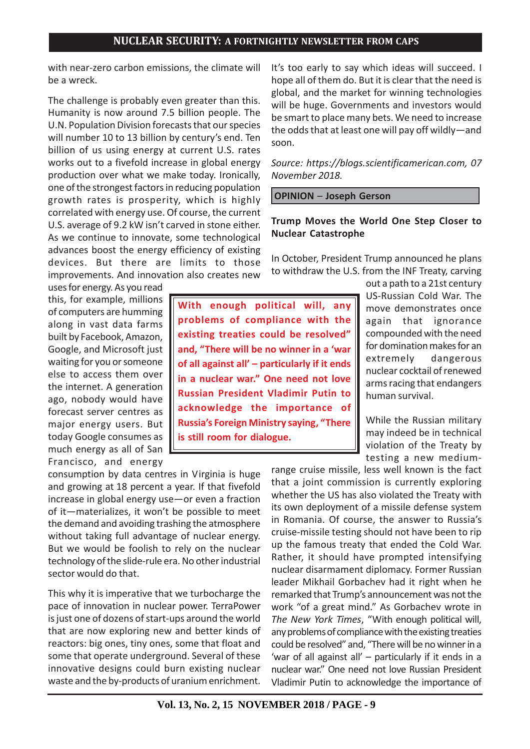with near-zero carbon emissions, the climate will be a wreck.

The challenge is probably even greater than this. Humanity is now around 7.5 billion people. The U.N. Population Division forecasts that our species will number 10 to 13 billion by century's end. Ten billion of us using energy at current U.S. rates works out to a fivefold increase in global energy production over what we make today. Ironically, one of the strongest factors in reducing population growth rates is prosperity, which is highly correlated with energy use. Of course, the current U.S. average of 9.2 kW isn't carved in stone either. As we continue to innovate, some technological advances boost the energy efficiency of existing devices. But there are limits to those improvements. And innovation also creates new

uses for energy. As you read this, for example, millions of computers are humming along in vast data farms built by Facebook, Amazon, Google, and Microsoft just waiting for you or someone else to access them over the internet. A generation ago, nobody would have forecast server centres as major energy users. But today Google consumes as much energy as all of San Francisco, and energy

consumption by data centres in Virginia is huge and growing at 18 percent a year. If that fivefold increase in global energy use—or even a fraction of it—materializes, it won't be possible to meet the demand and avoiding trashing the atmosphere without taking full advantage of nuclear energy. But we would be foolish to rely on the nuclear technology of the slide-rule era. No other industrial sector would do that.

This why it is imperative that we turbocharge the pace of innovation in nuclear power. TerraPower is just one of dozens of start-ups around the world that are now exploring new and better kinds of reactors: big ones, tiny ones, some that float and some that operate underground. Several of these innovative designs could burn existing nuclear waste and the by-products of uranium enrichment. It's too early to say which ideas will succeed. I hope all of them do. But it is clear that the need is global, and the market for winning technologies will be huge. Governments and investors would be smart to place many bets. We need to increase the odds that at least one will pay off wildly—and soon.

*Source: https://blogs.scientificamerican.com, 07 November 2018.*

 **OPINION** – **Joseph Gerson**

## **Trump Moves the World One Step Closer to Nuclear Catastrophe**

In October, President Trump announced he plans to withdraw the U.S. from the INF Treaty, carving

**With enough political will, any problems of compliance with the existing treaties could be resolved" and, "There will be no winner in a 'war of all against all' – particularly if it ends in a nuclear war." One need not love Russian President Vladimir Putin to acknowledge the importance of Russia's Foreign Ministry saying, "There is still room for dialogue.**

out a path to a 21st century US-Russian Cold War. The move demonstrates once again that ignorance compounded with the need for domination makes for an extremely dangerous nuclear cocktail of renewed arms racing that endangers human survival.

While the Russian military may indeed be in technical violation of the Treaty by testing a new medium-

range cruise missile, less well known is the fact that a joint commission is currently exploring whether the US has also violated the Treaty with its own deployment of a missile defense system in Romania. Of course, the answer to Russia's cruise-missile testing should not have been to rip up the famous treaty that ended the Cold War. Rather, it should have prompted intensifying nuclear disarmament diplomacy. Former Russian leader Mikhail Gorbachev had it right when he remarked that Trump's announcement was not the work "of a great mind." As Gorbachev wrote in *The New York Times*, "With enough political will, any problems of compliance with the existing treaties could be resolved" and, "There will be no winner in a 'war of all against all' – particularly if it ends in a nuclear war." One need not love Russian President Vladimir Putin to acknowledge the importance of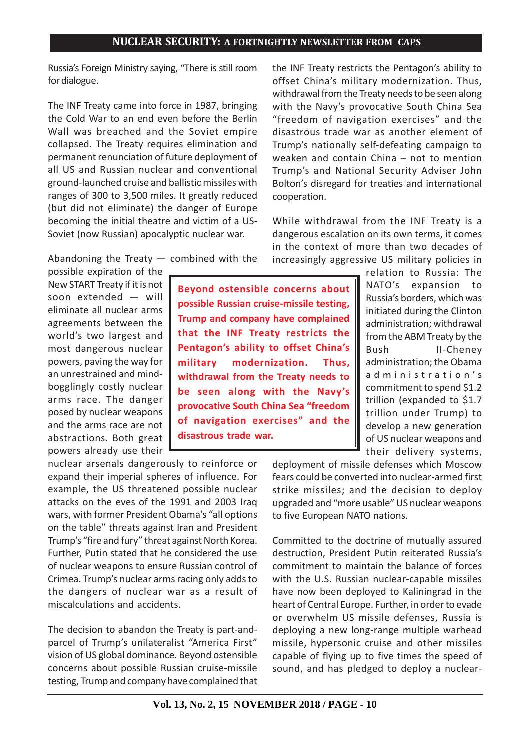Russia's Foreign Ministry saying, "There is still room for dialogue.

The INF Treaty came into force in 1987, bringing the Cold War to an end even before the Berlin Wall was breached and the Soviet empire collapsed. The Treaty requires elimination and permanent renunciation of future deployment of all US and Russian nuclear and conventional ground-launched cruise and ballistic missiles with ranges of 300 to 3,500 miles. It greatly reduced (but did not eliminate) the danger of Europe becoming the initial theatre and victim of a US-Soviet (now Russian) apocalyptic nuclear war.

the INF Treaty restricts the Pentagon's ability to offset China's military modernization. Thus, withdrawal from the Treaty needs to be seen along with the Navy's provocative South China Sea "freedom of navigation exercises" and the disastrous trade war as another element of Trump's nationally self-defeating campaign to weaken and contain China – not to mention Trump's and National Security Adviser John Bolton's disregard for treaties and international cooperation.

While withdrawal from the INF Treaty is a dangerous escalation on its own terms, it comes in the context of more than two decades of increasingly aggressive US military policies in

Abandoning the Treaty  $-$  combined with the

possible expiration of the New START Treaty if it is not soon extended — will eliminate all nuclear arms agreements between the world's two largest and most dangerous nuclear powers, paving the way for an unrestrained and mindbogglingly costly nuclear arms race. The danger posed by nuclear weapons and the arms race are not abstractions. Both great powers already use their

**Beyond ostensible concerns about possible Russian cruise-missile testing, Trump and company have complained that the INF Treaty restricts the Pentagon's ability to offset China's military modernization. Thus, withdrawal from the Treaty needs to be seen along with the Navy's provocative South China Sea "freedom of navigation exercises" and the disastrous trade war.**

relation to Russia: The NATO's expansion to Russia's borders, which was initiated during the Clinton administration; withdrawal from the ABM Treaty by the Bush II-Cheney administration; the Obama administration's commitment to spend \$1.2 trillion (expanded to \$1.7 trillion under Trump) to develop a new generation of US nuclear weapons and their delivery systems,

nuclear arsenals dangerously to reinforce or expand their imperial spheres of influence. For example, the US threatened possible nuclear attacks on the eves of the 1991 and 2003 Iraq wars, with former President Obama's "all options on the table" threats against Iran and President Trump's "fire and fury" threat against North Korea. Further, Putin stated that he considered the use of nuclear weapons to ensure Russian control of Crimea. Trump's nuclear arms racing only adds to the dangers of nuclear war as a result of miscalculations and accidents.

The decision to abandon the Treaty is part-andparcel of Trump's unilateralist "America First" vision of US global dominance. Beyond ostensible concerns about possible Russian cruise-missile testing, Trump and company have complained that deployment of missile defenses which Moscow fears could be converted into nuclear-armed first strike missiles; and the decision to deploy upgraded and "more usable" US nuclear weapons to five European NATO nations.

Committed to the doctrine of mutually assured destruction, President Putin reiterated Russia's commitment to maintain the balance of forces with the U.S. Russian nuclear-capable missiles have now been deployed to Kaliningrad in the heart of Central Europe. Further, in order to evade or overwhelm US missile defenses, Russia is deploying a new long-range multiple warhead missile, hypersonic cruise and other missiles capable of flying up to five times the speed of sound, and has pledged to deploy a nuclear-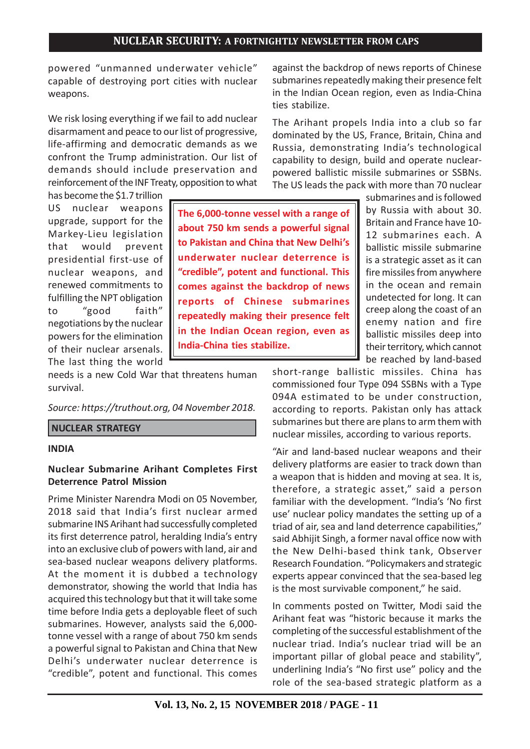powered "unmanned underwater vehicle" capable of destroying port cities with nuclear weapons.

We risk losing everything if we fail to add nuclear disarmament and peace to our list of progressive, life-affirming and democratic demands as we confront the Trump administration. Our list of demands should include preservation and reinforcement of the INF Treaty, opposition to what

has become the \$1.7 trillion US nuclear weapons upgrade, support for the Markey-Lieu legislation that would prevent presidential first-use of nuclear weapons, and renewed commitments to fulfilling the NPT obligation to "good faith" negotiations by the nuclear powers for the elimination of their nuclear arsenals. The last thing the world

**The 6,000-tonne vessel with a range of about 750 km sends a powerful signal to Pakistan and China that New Delhi's underwater nuclear deterrence is "credible", potent and functional. This comes against the backdrop of news reports of Chinese submarines repeatedly making their presence felt in the Indian Ocean region, even as India-China ties stabilize.**

needs is a new Cold War that threatens human survival.

### *Source: https://truthout.org, 04 November 2018.*

#### **NUCLEAR STRATEGY**

#### **INDIA**

### **Nuclear Submarine Arihant Completes First Deterrence Patrol Mission**

Prime Minister Narendra Modi on 05 November, 2018 said that India's first nuclear armed submarine INS Arihant had successfully completed its first deterrence patrol, heralding India's entry into an exclusive club of powers with land, air and sea-based nuclear weapons delivery platforms. At the moment it is dubbed a technology demonstrator, showing the world that India has acquired this technology but that it will take some time before India gets a deployable fleet of such submarines. However, analysts said the 6,000 tonne vessel with a range of about 750 km sends a powerful signal to Pakistan and China that New Delhi's underwater nuclear deterrence is "credible", potent and functional. This comes against the backdrop of news reports of Chinese submarines repeatedly making their presence felt in the Indian Ocean region, even as India-China ties stabilize.

The Arihant propels India into a club so far dominated by the US, France, Britain, China and Russia, demonstrating India's technological capability to design, build and operate nuclearpowered ballistic missile submarines or SSBNs. The US leads the pack with more than 70 nuclear

> submarines and is followed by Russia with about 30. Britain and France have 10- 12 submarines each. A ballistic missile submarine is a strategic asset as it can fire missiles from anywhere in the ocean and remain undetected for long. It can creep along the coast of an enemy nation and fire ballistic missiles deep into their territory, which cannot be reached by land-based

short-range ballistic missiles. China has commissioned four Type 094 SSBNs with a Type 094A estimated to be under construction, according to reports. Pakistan only has attack submarines but there are plans to arm them with nuclear missiles, according to various reports.

"Air and land-based nuclear weapons and their delivery platforms are easier to track down than a weapon that is hidden and moving at sea. It is, therefore, a strategic asset," said a person familiar with the development. "India's 'No first use' nuclear policy mandates the setting up of a triad of air, sea and land deterrence capabilities," said Abhijit Singh, a former naval office now with the New Delhi-based think tank, Observer Research Foundation. "Policymakers and strategic experts appear convinced that the sea-based leg is the most survivable component," he said.

In comments posted on Twitter, Modi said the Arihant feat was "historic because it marks the completing of the successful establishment of the nuclear triad. India's nuclear triad will be an important pillar of global peace and stability", underlining India's "No first use" policy and the role of the sea-based strategic platform as a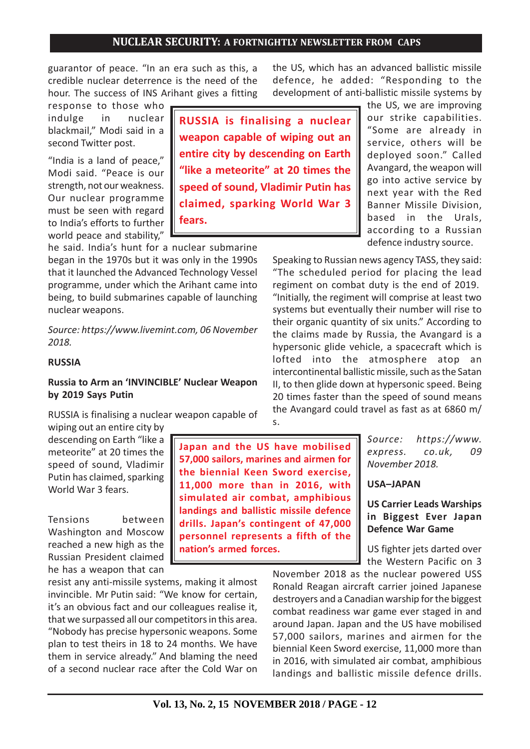**speed of sound, Vladimir Putin has claimed, sparking World War 3**

guarantor of peace. "In an era such as this, a credible nuclear deterrence is the need of the hour. The success of INS Arihant gives a fitting

response to those who indulge in nuclear blackmail," Modi said in a second Twitter post.

"India is a land of peace," Modi said. "Peace is our strength, not our weakness. Our nuclear programme must be seen with regard to India's efforts to further world peace and stability,"

he said. India's hunt for a nuclear submarine began in the 1970s but it was only in the 1990s that it launched the Advanced Technology Vessel programme, under which the Arihant came into being, to build submarines capable of launching nuclear weapons.

**fears.**

*Source: https://www.livemint.com, 06 November 2018.*

#### **RUSSIA**

#### **Russia to Arm an 'INVINCIBLE' Nuclear Weapon by 2019 Says Putin**

RUSSIA is finalising a nuclear weapon capable of wiping out an entire city by

descending on Earth "like a meteorite" at 20 times the speed of sound, Vladimir Putin has claimed, sparking World War 3 fears.

Tensions between Washington and Moscow reached a new high as the Russian President claimed he has a weapon that can

resist any anti-missile systems, making it almost invincible. Mr Putin said: "We know for certain, it's an obvious fact and our colleagues realise it, that we surpassed all our competitors in this area. "Nobody has precise hypersonic weapons. Some plan to test theirs in 18 to 24 months. We have them in service already." And blaming the need of a second nuclear race after the Cold War on

**Vol. 13, No. 2, 15 NOVEMBER 2018 / PAGE - 12**

**Japan and the US have mobilised 57,000 sailors, marines and airmen for the biennial Keen Sword exercise, 11,000 more than in 2016, with simulated air combat, amphibious landings and ballistic missile defence drills. Japan's contingent of 47,000 personnel represents a fifth of the nation's armed forces.**

the US, which has an advanced ballistic missile defence, he added: "Responding to the development of anti-ballistic missile systems by

> the US, we are improving our strike capabilities. "Some are already in service, others will be deployed soon." Called Avangard, the weapon will go into active service by next year with the Red Banner Missile Division, based in the Urals, according to a Russian defence industry source.

Speaking to Russian news agency TASS, they said: "The scheduled period for placing the lead regiment on combat duty is the end of 2019. "Initially, the regiment will comprise at least two systems but eventually their number will rise to their organic quantity of six units." According to the claims made by Russia, the Avangard is a hypersonic glide vehicle, a spacecraft which is lofted into the atmosphere atop an intercontinental ballistic missile, such as the Satan II, to then glide down at hypersonic speed. Being 20 times faster than the speed of sound means the Avangard could travel as fast as at 6860 m/ s.

> *Source: https://www. express. co.uk, 09 November 2018.*

#### **USA–JAPAN**

### **US Carrier Leads Warships in Biggest Ever Japan Defence War Game**

US fighter jets darted over the Western Pacific on 3

November 2018 as the nuclear powered USS Ronald Reagan aircraft carrier joined Japanese destroyers and a Canadian warship for the biggest combat readiness war game ever staged in and around Japan. Japan and the US have mobilised 57,000 sailors, marines and airmen for the biennial Keen Sword exercise, 11,000 more than in 2016, with simulated air combat, amphibious landings and ballistic missile defence drills.

**RUSSIA is finalising a nuclear weapon capable of wiping out an entire city by descending on Earth "like a meteorite" at 20 times the**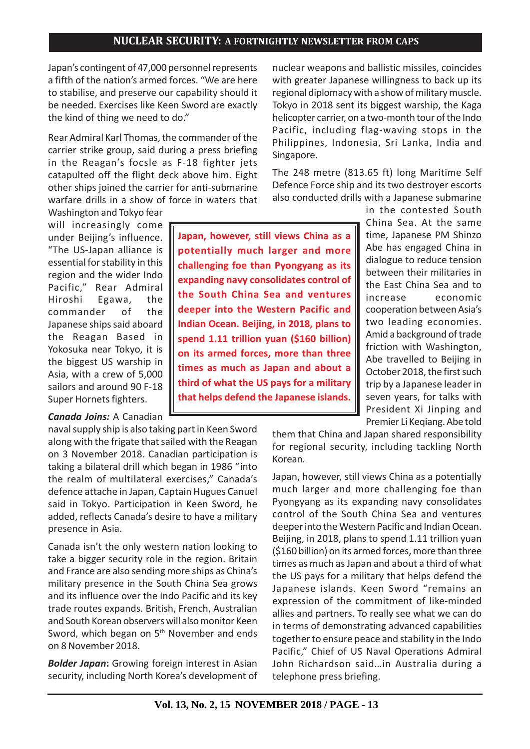Japan's contingent of 47,000 personnel represents a fifth of the nation's armed forces. "We are here to stabilise, and preserve our capability should it be needed. Exercises like Keen Sword are exactly the kind of thing we need to do."

Rear Admiral Karl Thomas, the commander of the carrier strike group, said during a press briefing in the Reagan's focsle as F-18 fighter jets catapulted off the flight deck above him. Eight other ships joined the carrier for anti-submarine warfare drills in a show of force in waters that

Washington and Tokyo fear will increasingly come under Beijing's influence. "The US-Japan alliance is essential for stability in this region and the wider Indo Pacific," Rear Admiral Hiroshi Egawa, the commander of the Japanese ships said aboard the Reagan Based in Yokosuka near Tokyo, it is the biggest US warship in Asia, with a crew of 5,000 sailors and around 90 F-18 Super Hornets fighters.

#### *Canada Joins:* A Canadian

naval supply ship is also taking part in Keen Sword along with the frigate that sailed with the Reagan on 3 November 2018. Canadian participation is taking a bilateral drill which began in 1986 "into the realm of multilateral exercises," Canada's defence attache in Japan, Captain Hugues Canuel said in Tokyo. Participation in Keen Sword, he added, reflects Canada's desire to have a military presence in Asia.

Canada isn't the only western nation looking to take a bigger security role in the region. Britain and France are also sending more ships as China's military presence in the South China Sea grows and its influence over the Indo Pacific and its key trade routes expands. British, French, Australian and South Korean observers will also monitor Keen Sword, which began on  $5<sup>th</sup>$  November and ends on 8 November 2018.

*Bolder Japan***:** Growing foreign interest in Asian security, including North Korea's development of nuclear weapons and ballistic missiles, coincides with greater Japanese willingness to back up its regional diplomacy with a show of military muscle. Tokyo in 2018 sent its biggest warship, the Kaga helicopter carrier, on a two-month tour of the Indo Pacific, including flag-waving stops in the Philippines, Indonesia, Sri Lanka, India and Singapore.

The 248 metre (813.65 ft) long Maritime Self Defence Force ship and its two destroyer escorts also conducted drills with a Japanese submarine

**Japan, however, still views China as a potentially much larger and more challenging foe than Pyongyang as its expanding navy consolidates control of the South China Sea and ventures deeper into the Western Pacific and Indian Ocean. Beijing, in 2018, plans to spend 1.11 trillion yuan (\$160 billion) on its armed forces, more than three times as much as Japan and about a third of what the US pays for a military that helps defend the Japanese islands.**

in the contested South China Sea. At the same time, Japanese PM Shinzo Abe has engaged China in dialogue to reduce tension between their militaries in the East China Sea and to increase economic cooperation between Asia's two leading economies. Amid a background of trade friction with Washington, Abe travelled to Beijing in October 2018, the first such trip by a Japanese leader in seven years, for talks with President Xi Jinping and Premier Li Keqiang. Abe told

them that China and Japan shared responsibility for regional security, including tackling North Korean.

Japan, however, still views China as a potentially much larger and more challenging foe than Pyongyang as its expanding navy consolidates control of the South China Sea and ventures deeper into the Western Pacific and Indian Ocean. Beijing, in 2018, plans to spend 1.11 trillion yuan (\$160 billion) on its armed forces, more than three times as much as Japan and about a third of what the US pays for a military that helps defend the Japanese islands. Keen Sword "remains an expression of the commitment of like-minded allies and partners. To really see what we can do in terms of demonstrating advanced capabilities together to ensure peace and stability in the Indo Pacific," Chief of US Naval Operations Admiral John Richardson said…in Australia during a telephone press briefing.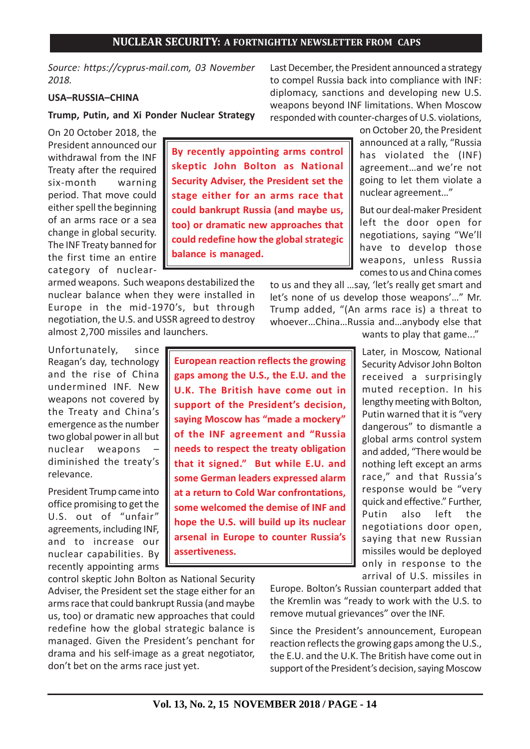**By recently appointing arms control skeptic John Bolton as National Security Adviser, the President set the stage either for an arms race that could bankrupt Russia (and maybe us, too) or dramatic new approaches that could redefine how the global strategic**

**European reaction reflects the growing gaps among the U.S., the E.U. and the U.K. The British have come out in support of the President's decision, saying Moscow has "made a mockery" of the INF agreement and "Russia needs to respect the treaty obligation that it signed." But while E.U. and some German leaders expressed alarm at a return to Cold War confrontations, some welcomed the demise of INF and hope the U.S. will build up its nuclear arsenal in Europe to counter Russia's**

**balance is managed.**

*Source: https://cyprus-mail.com, 03 November 2018.*

## **USA–RUSSIA–CHINA**

**Trump, Putin, and Xi Ponder Nuclear Strategy**

On 20 October 2018, the President announced our withdrawal from the INF Treaty after the required six-month warning period. That move could either spell the beginning of an arms race or a sea change in global security. The INF Treaty banned for the first time an entire category of nuclear-

armed weapons. Such weapons destabilized the nuclear balance when they were installed in Europe in the mid-1970's, but through negotiation, the U.S. and USSR agreed to destroy almost 2,700 missiles and launchers.

Unfortunately, since relevance.

President Trump came into office promising to get the U.S. out of "unfair" agreements, including INF, and to increase our nuclear capabilities. By recently appointing arms

control skeptic John Bolton as National Security Adviser, the President set the stage either for an arms race that could bankrupt Russia (and maybe us, too) or dramatic new approaches that could redefine how the global strategic balance is managed. Given the President's penchant for drama and his self-image as a great negotiator, don't bet on the arms race just yet.

**assertiveness.**

Last December, the President announced a strategy to compel Russia back into compliance with INF: diplomacy, sanctions and developing new U.S. weapons beyond INF limitations. When Moscow responded with counter-charges of U.S. violations,

> on October 20, the President announced at a rally, "Russia has violated the (INF) agreement…and we're not going to let them violate a nuclear agreement…"

> But our deal-maker President left the door open for negotiations, saying "We'll have to develop those weapons, unless Russia comes to us and China comes

to us and they all …say, 'let's really get smart and let's none of us develop those weapons'…" Mr. Trump added, "(An arms race is) a threat to whoever…China…Russia and…anybody else that

wants to play that game..."

Later, in Moscow, National Security Advisor John Bolton received a surprisingly muted reception. In his lengthy meeting with Bolton, Putin warned that it is "very dangerous" to dismantle a global arms control system and added, "There would be nothing left except an arms race," and that Russia's response would be "very quick and effective." Further, Putin also left the negotiations door open, saying that new Russian missiles would be deployed only in response to the arrival of U.S. missiles in

Europe. Bolton's Russian counterpart added that the Kremlin was "ready to work with the U.S. to remove mutual grievances" over the INF.

Since the President's announcement, European reaction reflects the growing gaps among the U.S., the E.U. and the U.K. The British have come out in support of the President's decision, saying Moscow

Reagan's day, technology and the rise of China undermined INF. New weapons not covered by the Treaty and China's emergence as the number two global power in all but nuclear weapons – diminished the treaty's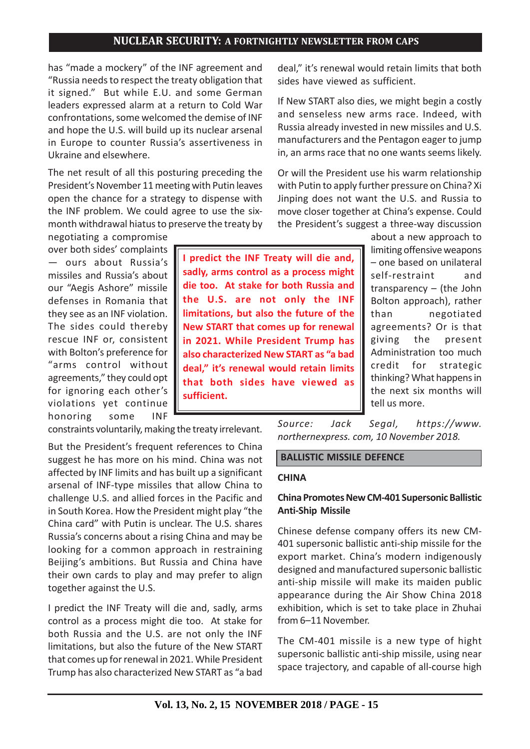has "made a mockery" of the INF agreement and "Russia needs to respect the treaty obligation that it signed." But while E.U. and some German leaders expressed alarm at a return to Cold War confrontations, some welcomed the demise of INF and hope the U.S. will build up its nuclear arsenal in Europe to counter Russia's assertiveness in Ukraine and elsewhere.

The net result of all this posturing preceding the President's November 11 meeting with Putin leaves open the chance for a strategy to dispense with the INF problem. We could agree to use the sixmonth withdrawal hiatus to preserve the treaty by

negotiating a compromise over both sides' complaints — ours about Russia's missiles and Russia's about our "Aegis Ashore" missile defenses in Romania that they see as an INF violation. The sides could thereby rescue INF or, consistent with Bolton's preference for "arms control without agreements," they could opt for ignoring each other's violations yet continue honoring some INF

constraints voluntarily, making the treaty irrelevant.

But the President's frequent references to China suggest he has more on his mind. China was not affected by INF limits and has built up a significant arsenal of INF-type missiles that allow China to challenge U.S. and allied forces in the Pacific and in South Korea. How the President might play "the China card" with Putin is unclear. The U.S. shares Russia's concerns about a rising China and may be looking for a common approach in restraining Beijing's ambitions. But Russia and China have their own cards to play and may prefer to align together against the U.S.

I predict the INF Treaty will die and, sadly, arms control as a process might die too. At stake for both Russia and the U.S. are not only the INF limitations, but also the future of the New START that comes up for renewal in 2021. While President Trump has also characterized New START as "a bad

deal," it's renewal would retain limits that both sides have viewed as sufficient.

If New START also dies, we might begin a costly and senseless new arms race. Indeed, with Russia already invested in new missiles and U.S. manufacturers and the Pentagon eager to jump in, an arms race that no one wants seems likely.

Or will the President use his warm relationship with Putin to apply further pressure on China? Xi Jinping does not want the U.S. and Russia to move closer together at China's expense. Could the President's suggest a three-way discussion

> about a new approach to limiting offensive weapons – one based on unilateral self-restraint and transparency – (the John Bolton approach), rather than negotiated agreements? Or is that giving the present Administration too much credit for strategic thinking? What happens in the next six months will tell us more.

*Source: Jack Segal, https://www. northernexpress. com, 10 November 2018.*

### **BALLISTIC MISSILE DEFENCE**

#### **CHINA**

### **China Promotes New CM-401 Supersonic Ballistic Anti-Ship Missile**

Chinese defense company offers its new CM-401 supersonic ballistic anti-ship missile for the export market. China's modern indigenously designed and manufactured supersonic ballistic anti-ship missile will make its maiden public appearance during the Air Show China 2018 exhibition, which is set to take place in Zhuhai from 6–11 November.

The CM-401 missile is a new type of hight supersonic ballistic anti-ship missile, using near space trajectory, and capable of all-course high

**sadly, arms control as a process might die too. At stake for both Russia and the U.S. are not only the INF limitations, but also the future of the New START that comes up for renewal in 2021. While President Trump has also characterized New START as "a bad deal," it's renewal would retain limits that both sides have viewed as sufficient.**

**I predict the INF Treaty will die and,**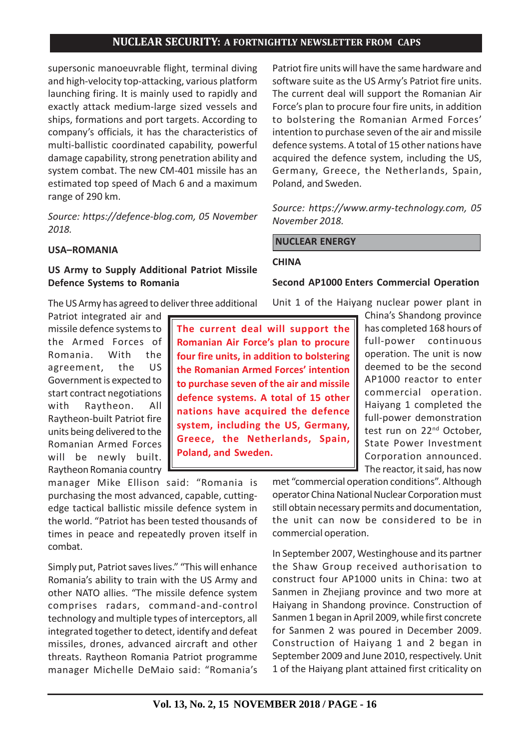supersonic manoeuvrable flight, terminal diving and high-velocity top-attacking, various platform launching firing. It is mainly used to rapidly and exactly attack medium-large sized vessels and ships, formations and port targets. According to company's officials, it has the characteristics of multi-ballistic coordinated capability, powerful damage capability, strong penetration ability and system combat. The new CM-401 missile has an estimated top speed of Mach 6 and a maximum range of 290 km.

*Source: https://defence-blog.com, 05 November 2018.*

### **USA–ROMANIA**

## **US Army to Supply Additional Patriot Missile Defence Systems to Romania**

The US Army has agreed to deliver three additional

Patriot integrated air and missile defence systems to the Armed Forces of Romania. With the agreement, the US Government is expected to start contract negotiations with Raytheon. All Raytheon-built Patriot fire units being delivered to the Romanian Armed Forces will be newly built. Raytheon Romania country

manager Mike Ellison said: "Romania is purchasing the most advanced, capable, cuttingedge tactical ballistic missile defence system in the world. "Patriot has been tested thousands of times in peace and repeatedly proven itself in combat.

Simply put, Patriot saves lives." "This will enhance Romania's ability to train with the US Army and other NATO allies. "The missile defence system comprises radars, command-and-control technology and multiple types of interceptors, all integrated together to detect, identify and defeat missiles, drones, advanced aircraft and other threats. Raytheon Romania Patriot programme manager Michelle DeMaio said: "Romania's Patriot fire units will have the same hardware and software suite as the US Army's Patriot fire units. The current deal will support the Romanian Air Force's plan to procure four fire units, in addition to bolstering the Romanian Armed Forces' intention to purchase seven of the air and missile defence systems. A total of 15 other nations have acquired the defence system, including the US, Germany, Greece, the Netherlands, Spain, Poland, and Sweden.

*Source: https://www.army-technology.com, 05 November 2018.*

 **NUCLEAR ENERGY**

#### **CHINA**

#### **Second AP1000 Enters Commercial Operation**

Unit 1 of the Haiyang nuclear power plant in

**The current deal will support the Romanian Air Force's plan to procure four fire units, in addition to bolstering the Romanian Armed Forces' intention to purchase seven of the air and missile defence systems. A total of 15 other nations have acquired the defence system, including the US, Germany, Greece, the Netherlands, Spain, Poland, and Sweden.**

China's Shandong province has completed 168 hours of full-power continuous operation. The unit is now deemed to be the second AP1000 reactor to enter commercial operation. Haiyang 1 completed the full-power demonstration test run on 22<sup>nd</sup> October, State Power Investment Corporation announced. The reactor, it said, has now

met "commercial operation conditions". Although operator China National Nuclear Corporation must still obtain necessary permits and documentation, the unit can now be considered to be in commercial operation.

In September 2007, Westinghouse and its partner the Shaw Group received authorisation to construct four AP1000 units in China: two at Sanmen in Zhejiang province and two more at Haiyang in Shandong province. Construction of Sanmen 1 began in April 2009, while first concrete for Sanmen 2 was poured in December 2009. Construction of Haiyang 1 and 2 began in September 2009 and June 2010, respectively. Unit 1 of the Haiyang plant attained first criticality on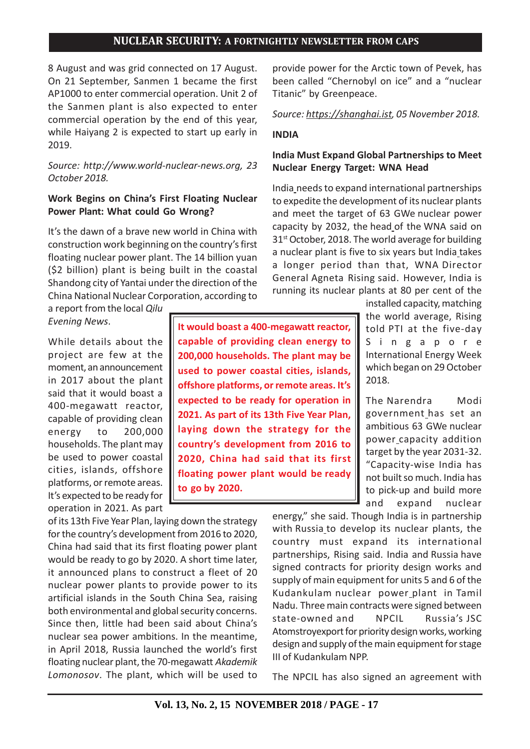**It would boast a 400-megawatt reactor, capable of providing clean energy to 200,000 households. The plant may be used to power coastal cities, islands, offshore platforms, or remote areas. It's expected to be ready for operation in 2021. As part of its 13th Five Year Plan, laying down the strategy for the country's development from 2016 to 2020, China had said that its first floating power plant would be ready**

8 August and was grid connected on 17 August. On 21 September, Sanmen 1 became the first AP1000 to enter commercial operation. Unit 2 of the Sanmen plant is also expected to enter commercial operation by the end of this year, while Haiyang 2 is expected to start up early in 2019.

## *Source: http://www.world-nuclear-news.org, 23 October 2018.*

### **Work Begins on China's First Floating Nuclear Power Plant: What could Go Wrong?**

It's the dawn of a brave new world in China with construction work beginning on the country's first floating nuclear power plant. The 14 billion yuan (\$2 billion) plant is being built in the coastal Shandong city of Yantai under the direction of the China National Nuclear Corporation, according to a report from the local *Qilu*

*Evening News*.

While details about the project are few at the moment, an announcement in 2017 about the plant said that it would boast a 400-megawatt reactor, capable of providing clean energy to 200,000 households. The plant may be used to power coastal cities, islands, offshore platforms, or remote areas. It's expected to be ready for operation in 2021. As part

of its 13th Five Year Plan, laying down the strategy for the country's development from 2016 to 2020, China had said that its first floating power plant would be ready to go by 2020. A short time later, it announced plans to construct a fleet of 20 nuclear power plants to provide power to its artificial islands in the South China Sea, raising both environmental and global security concerns. Since then, little had been said about China's nuclear sea power ambitions. In the meantime, in April 2018, Russia launched the world's first floating nuclear plant, the 70-megawatt *Akademik Lomonosov*. The plant, which will be used to

**to go by 2020.**

provide power for the Arctic town of Pevek, has been called "Chernobyl on ice" and a "nuclear Titanic" by Greenpeace.

*Source: https://shanghai.ist, 05 November 2018.*

#### **INDIA**

## **India Must Expand Global Partnerships to Meet Nuclear Energy Target: WNA Head**

India needs to expand international partnerships to expedite the development of its nuclear plants and meet the target of 63 GWe nuclear power capacity by 2032, the head of the WNA said on  $31<sup>st</sup>$  October, 2018. The world average for building a nuclear plant is five to six years but India takes a longer period than that, WNA Director General Agneta Rising said. However, India is running its nuclear plants at 80 per cent of the

> installed capacity, matching the world average, Rising told PTI at the five-day Singapore International Energy Week which began on 29 October 2018.

> The Narendra Modi government\_has set an ambitious 63 GWe nuclear power capacity addition target by the year 2031-32. "Capacity-wise India has not built so much. India has to pick-up and build more and expand nuclear

energy," she said. Though India is in partnership with Russia\_to develop its nuclear plants, the country must expand its international partnerships, Rising said. India and Russia have signed contracts for priority design works and supply of main equipment for units 5 and 6 of the Kudankulam nuclear power plant in Tamil Nadu. Three main contracts were signed between state-owned and NPCIL Russia's JSC Atomstroyexport for priority design works, working design and supply of the main equipment for stage III of Kudankulam NPP.

The NPCIL has also signed an agreement with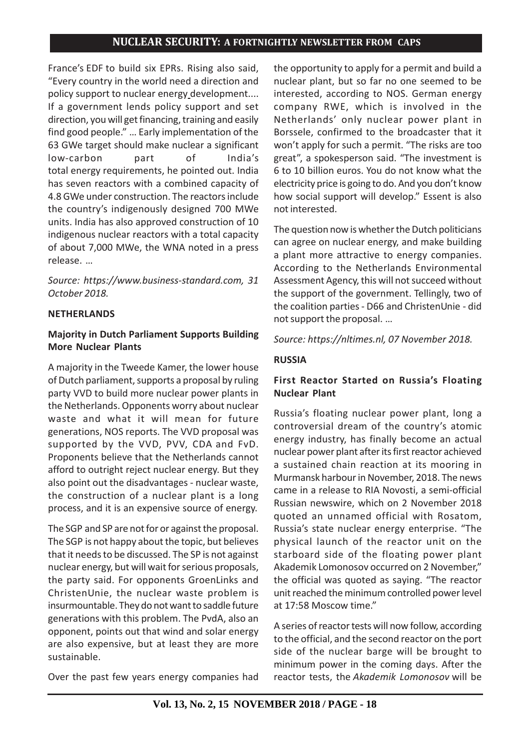France's EDF to build six EPRs. Rising also said, "Every country in the world need a direction and policy support to nuclear energy development.... If a government lends policy support and set direction, you will get financing, training and easily find good people." … Early implementation of the 63 GWe target should make nuclear a significant low-carbon part of India's total energy requirements, he pointed out. India has seven reactors with a combined capacity of 4.8 GWe under construction. The reactors include the country's indigenously designed 700 MWe units. India has also approved construction of 10 indigenous nuclear reactors with a total capacity of about 7,000 MWe, the WNA noted in a press release. …

*Source: https://www.business-standard.com, 31 October 2018.*

### **NETHERLANDS**

## **Majority in Dutch Parliament Supports Building More Nuclear Plants**

A majority in the Tweede Kamer, the lower house of Dutch parliament, supports a proposal by ruling party VVD to build more nuclear power plants in the Netherlands. Opponents worry about nuclear waste and what it will mean for future generations, NOS reports. The VVD proposal was supported by the VVD, PVV, CDA and FvD. Proponents believe that the Netherlands cannot afford to outright reject nuclear energy. But they also point out the disadvantages - nuclear waste, the construction of a nuclear plant is a long process, and it is an expensive source of energy.

The SGP and SP are not for or against the proposal. The SGP is not happy about the topic, but believes that it needs to be discussed. The SP is not against nuclear energy, but will wait for serious proposals, the party said. For opponents GroenLinks and ChristenUnie, the nuclear waste problem is insurmountable. They do not want to saddle future generations with this problem. The PvdA, also an opponent, points out that wind and solar energy are also expensive, but at least they are more sustainable.

Over the past few years energy companies had

the opportunity to apply for a permit and build a nuclear plant, but so far no one seemed to be interested, according to NOS. German energy company RWE, which is involved in the Netherlands' only nuclear power plant in Borssele, confirmed to the broadcaster that it won't apply for such a permit. "The risks are too great", a spokesperson said. "The investment is 6 to 10 billion euros. You do not know what the electricity price is going to do. And you don't know how social support will develop." Essent is also not interested.

The question now is whether the Dutch politicians can agree on nuclear energy, and make building a plant more attractive to energy companies. According to the Netherlands Environmental Assessment Agency, this will not succeed without the support of the government. Tellingly, two of the coalition parties - D66 and ChristenUnie - did not support the proposal. …

*Source: https://nltimes.nl, 07 November 2018.*

# **RUSSIA**

# **First Reactor Started on Russia's Floating Nuclear Plant**

Russia's floating nuclear power plant, long a controversial dream of the country's atomic energy industry, has finally become an actual nuclear power plant after its first reactor achieved a sustained chain reaction at its mooring in Murmansk harbour in November, 2018. The news came in a release to RIA Novosti, a semi-official Russian newswire, which on 2 November 2018 quoted an unnamed official with Rosatom, Russia's state nuclear energy enterprise. "The physical launch of the reactor unit on the starboard side of the floating power plant Akademik Lomonosov occurred on 2 November," the official was quoted as saying. "The reactor unit reached the minimum controlled power level at 17:58 Moscow time."

A series of reactor tests will now follow, according to the official, and the second reactor on the port side of the nuclear barge will be brought to minimum power in the coming days. After the reactor tests, the *Akademik Lomonosov* will be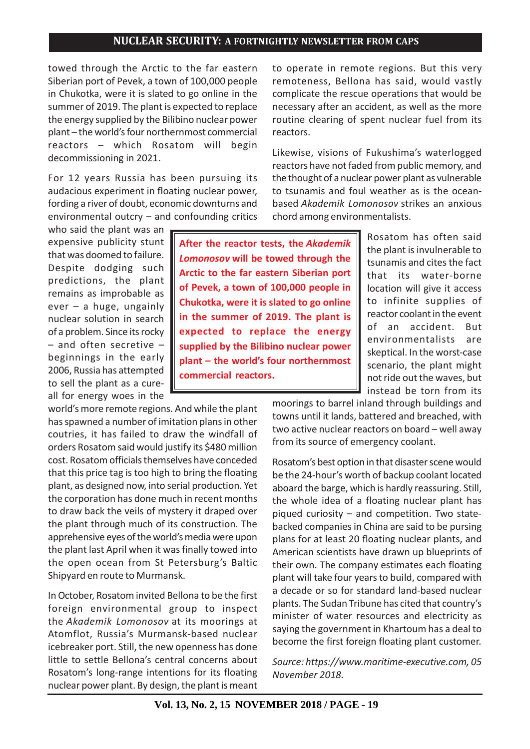towed through the Arctic to the far eastern Siberian port of Pevek, a town of 100,000 people in Chukotka, were it is slated to go online in the summer of 2019. The plant is expected to replace the energy supplied by the Bilibino nuclear power plant – the world's four northernmost commercial reactors – which Rosatom will begin decommissioning in 2021.

For 12 years Russia has been pursuing its audacious experiment in floating nuclear power, fording a river of doubt, economic downturns and environmental outcry – and confounding critics

who said the plant was an expensive publicity stunt that was doomed to failure. Despite dodging such predictions, the plant remains as improbable as ever – a huge, ungainly nuclear solution in search of a problem. Since its rocky – and often secretive – beginnings in the early 2006, Russia has attempted to sell the plant as a cureall for energy woes in the

world's more remote regions. And while the plant has spawned a number of imitation plans in other coutries, it has failed to draw the windfall of orders Rosatom said would justify its \$480 million cost. Rosatom officials themselves have conceded that this price tag is too high to bring the floating plant, as designed now, into serial production. Yet the corporation has done much in recent months to draw back the veils of mystery it draped over the plant through much of its construction. The apprehensive eyes of the world's media were upon the plant last April when it was finally towed into the open ocean from St Petersburg's Baltic Shipyard en route to Murmansk.

In October, Rosatom invited Bellona to be the first foreign environmental group to inspect the *Akademik Lomonosov* at its moorings at Atomflot, Russia's Murmansk-based nuclear icebreaker port. Still, the new openness has done little to settle Bellona's central concerns about Rosatom's long-range intentions for its floating nuclear power plant. By design, the plant is meant to operate in remote regions. But this very remoteness, Bellona has said, would vastly complicate the rescue operations that would be necessary after an accident, as well as the more routine clearing of spent nuclear fuel from its reactors.

Likewise, visions of Fukushima's waterlogged reactors have not faded from public memory, and the thought of a nuclear power plant as vulnerable to tsunamis and foul weather as is the oceanbased *Akademik Lomonosov* strikes an anxious chord among environmentalists.

**After the reactor tests, the** *Akademik Lomonosov* **will be towed through the Arctic to the far eastern Siberian port of Pevek, a town of 100,000 people in Chukotka, were it is slated to go online in the summer of 2019. The plant is expected to replace the energy supplied by the Bilibino nuclear power plant – the world's four northernmost commercial reactors.**

Rosatom has often said the plant is invulnerable to tsunamis and cites the fact that its water-borne location will give it access to infinite supplies of reactor coolant in the event of an accident. But environmentalists are skeptical. In the worst-case scenario, the plant might not ride out the waves, but instead be torn from its

moorings to barrel inland through buildings and towns until it lands, battered and breached, with two active nuclear reactors on board – well away from its source of emergency coolant.

Rosatom's best option in that disaster scene would be the 24-hour's worth of backup coolant located aboard the barge, which is hardly reassuring. Still, the whole idea of a floating nuclear plant has piqued curiosity – and competition. Two statebacked companies in China are said to be pursing plans for at least 20 floating nuclear plants, and American scientists have drawn up blueprints of their own. The company estimates each floating plant will take four years to build, compared with a decade or so for standard land-based nuclear plants. The Sudan Tribune has cited that country's minister of water resources and electricity as saying the government in Khartoum has a deal to become the first foreign floating plant customer.

*Source: https://www.maritime-executive.com, 05 November 2018.*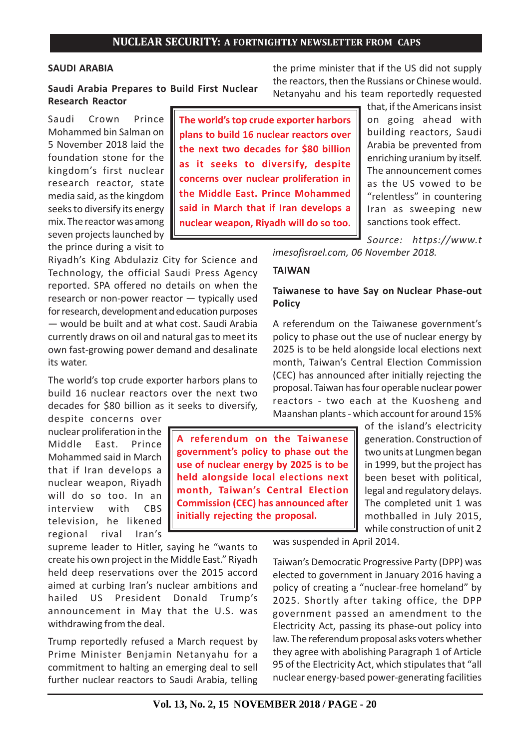**The world's top crude exporter harbors**

#### **SAUDI ARABIA**

**Saudi Arabia Prepares to Build First Nuclear Research Reactor**

Saudi Crown Prince Mohammed bin Salman on 5 November 2018 laid the foundation stone for the kingdom's first nuclear research reactor, state media said, as the kingdom seeks to diversify its energy mix. The reactor was among seven projects launched by the prince during a visit to

Riyadh's King Abdulaziz City for Science and Technology, the official Saudi Press Agency reported. SPA offered no details on when the research or non-power reactor — typically used for research, development and education purposes — would be built and at what cost. Saudi Arabia currently draws on oil and natural gas to meet its own fast-growing power demand and desalinate its water.

The world's top crude exporter harbors plans to build 16 nuclear reactors over the next two decades for \$80 billion as it seeks to diversify,

despite concerns over nuclear proliferation in the Middle East. Prince Mohammed said in March that if Iran develops a nuclear weapon, Riyadh will do so too. In an interview with CBS television, he likened regional rival Iran's

supreme leader to Hitler, saying he "wants to create his own project in the Middle East." Riyadh held deep reservations over the 2015 accord aimed at curbing Iran's nuclear ambitions and hailed US President Donald Trump's announcement in May that the U.S. was withdrawing from the deal.

Trump reportedly refused a March request by Prime Minister Benjamin Netanyahu for a commitment to halting an emerging deal to sell further nuclear reactors to Saudi Arabia, telling

**A referendum on the Taiwanese government's policy to phase out the use of nuclear energy by 2025 is to be held alongside local elections next month, Taiwan's Central Election Commission (CEC) has announced after initially rejecting the proposal.**

the prime minister that if the US did not supply the reactors, then the Russians or Chinese would. Netanyahu and his team reportedly requested

> that, if the Americans insist on going ahead with building reactors, Saudi Arabia be prevented from enriching uranium by itself. The announcement comes as the US vowed to be "relentless" in countering Iran as sweeping new sanctions took effect.

*Source: https://www.t imesofisrael.com, 06 November 2018.*

### **TAIWAN**

## **Taiwanese to have Say on Nuclear Phase-out Policy**

A referendum on the Taiwanese government's policy to phase out the use of nuclear energy by 2025 is to be held alongside local elections next month, Taiwan's Central Election Commission (CEC) has announced after initially rejecting the proposal. Taiwan has four operable nuclear power reactors - two each at the Kuosheng and Maanshan plants - which account for around 15%

> of the island's electricity generation. Construction of two units at Lungmen began in 1999, but the project has been beset with political, legal and regulatory delays. The completed unit 1 was mothballed in July 2015, while construction of unit 2

was suspended in April 2014.

Taiwan's Democratic Progressive Party (DPP) was elected to government in January 2016 having a policy of creating a "nuclear-free homeland" by 2025. Shortly after taking office, the DPP government passed an amendment to the Electricity Act, passing its phase-out policy into law. The referendum proposal asks voters whether they agree with abolishing Paragraph 1 of Article 95 of the Electricity Act, which stipulates that "all nuclear energy-based power-generating facilities

**plans to build 16 nuclear reactors over the next two decades for \$80 billion as it seeks to diversify, despite concerns over nuclear proliferation in the Middle East. Prince Mohammed said in March that if Iran develops a nuclear weapon, Riyadh will do so too.**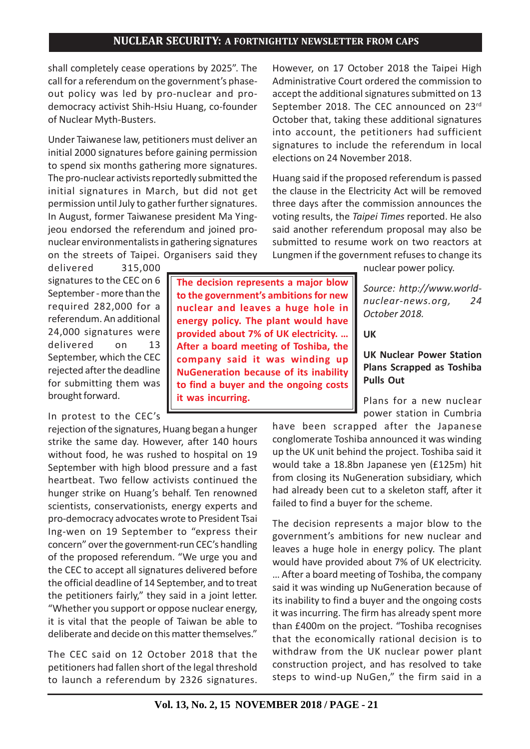shall completely cease operations by 2025". The call for a referendum on the government's phaseout policy was led by pro-nuclear and prodemocracy activist Shih-Hsiu Huang, co-founder of Nuclear Myth-Busters.

Under Taiwanese law, petitioners must deliver an initial 2000 signatures before gaining permission to spend six months gathering more signatures. The pro-nuclear activists reportedly submitted the initial signatures in March, but did not get permission until July to gather further signatures. In August, former Taiwanese president Ma Yingjeou endorsed the referendum and joined pronuclear environmentalists in gathering signatures on the streets of Taipei. Organisers said they

delivered 315,000 signatures to the CEC on 6 September - more than the required 282,000 for a referendum. An additional 24,000 signatures were delivered on 13 September, which the CEC rejected after the deadline for submitting them was brought forward.

# In protest to the CEC's

rejection of the signatures, Huang began a hunger strike the same day. However, after 140 hours without food, he was rushed to hospital on 19 September with high blood pressure and a fast heartbeat. Two fellow activists continued the hunger strike on Huang's behalf. Ten renowned scientists, conservationists, energy experts and pro-democracy advocates wrote to President Tsai Ing-wen on 19 September to "express their concern" over the government-run CEC's handling of the proposed referendum. "We urge you and the CEC to accept all signatures delivered before the official deadline of 14 September, and to treat the petitioners fairly," they said in a joint letter. "Whether you support or oppose nuclear energy, it is vital that the people of Taiwan be able to deliberate and decide on this matter themselves."

The CEC said on 12 October 2018 that the petitioners had fallen short of the legal threshold to launch a referendum by 2326 signatures.

**The decision represents a major blow to the government's ambitions for new nuclear and leaves a huge hole in energy policy. The plant would have provided about 7% of UK electricity. … After a board meeting of Toshiba, the company said it was winding up NuGeneration because of its inability to find a buyer and the ongoing costs it was incurring.**

However, on 17 October 2018 the Taipei High Administrative Court ordered the commission to accept the additional signatures submitted on 13 September 2018. The CEC announced on 23rd October that, taking these additional signatures into account, the petitioners had sufficient signatures to include the referendum in local elections on 24 November 2018.

Huang said if the proposed referendum is passed the clause in the Electricity Act will be removed three days after the commission announces the voting results, the *Taipei Times* reported. He also said another referendum proposal may also be submitted to resume work on two reactors at Lungmen if the government refuses to change its

nuclear power policy.

*Source: http://www.worldnuclear-news.org, 24 October 2018.*

**UK**

## **UK Nuclear Power Station Plans Scrapped as Toshiba Pulls Out**

Plans for a new nuclear power station in Cumbria

have been scrapped after the Japanese conglomerate Toshiba announced it was winding up the UK unit behind the project. Toshiba said it would take a 18.8bn Japanese yen (£125m) hit from closing its NuGeneration subsidiary, which had already been cut to a skeleton staff, after it failed to find a buyer for the scheme.

The decision represents a major blow to the government's ambitions for new nuclear and leaves a huge hole in energy policy. The plant would have provided about 7% of UK electricity. … After a board meeting of Toshiba, the company said it was winding up NuGeneration because of its inability to find a buyer and the ongoing costs it was incurring. The firm has already spent more than £400m on the project. "Toshiba recognises that the economically rational decision is to withdraw from the UK nuclear power plant construction project, and has resolved to take steps to wind-up NuGen," the firm said in a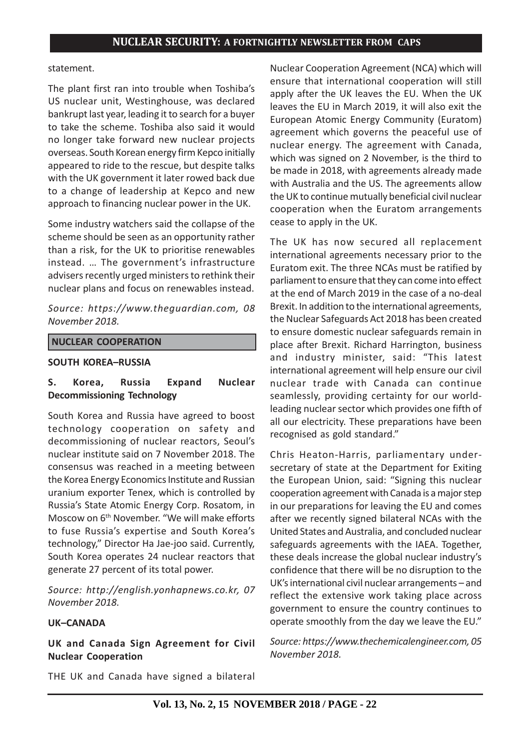#### statement.

The plant first ran into trouble when Toshiba's US nuclear unit, Westinghouse, was declared bankrupt last year, leading it to search for a buyer to take the scheme. Toshiba also said it would no longer take forward new nuclear projects overseas. South Korean energy firm Kepco initially appeared to ride to the rescue, but despite talks with the UK government it later rowed back due to a change of leadership at Kepco and new approach to financing nuclear power in the UK.

Some industry watchers said the collapse of the scheme should be seen as an opportunity rather than a risk, for the UK to prioritise renewables instead. … The government's infrastructure advisers recently urged ministers to rethink their nuclear plans and focus on renewables instead.

*Source: https://www.theguardian.com, 08 November 2018.*

#### **NUCLEAR COOPERATION**

#### **SOUTH KOREA–RUSSIA**

## **S. Korea, Russia Expand Nuclear Decommissioning Technology**

South Korea and Russia have agreed to boost technology cooperation on safety and decommissioning of nuclear reactors, Seoul's nuclear institute said on 7 November 2018. The consensus was reached in a meeting between the Korea Energy Economics Institute and Russian uranium exporter Tenex, which is controlled by Russia's State Atomic Energy Corp. Rosatom, in Moscow on 6th November. "We will make efforts to fuse Russia's expertise and South Korea's technology," Director Ha Jae-joo said. Currently, South Korea operates 24 nuclear reactors that generate 27 percent of its total power.

*Source: http://english.yonhapnews.co.kr, 07 November 2018.*

### **UK–CANADA**

**UK and Canada Sign Agreement for Civil Nuclear Cooperation**

THE UK and Canada have signed a bilateral

Nuclear Cooperation Agreement (NCA) which will ensure that international cooperation will still apply after the UK leaves the EU. When the UK leaves the EU in March 2019, it will also exit the European Atomic Energy Community (Euratom) agreement which governs the peaceful use of nuclear energy. The agreement with Canada, which was signed on 2 November, is the third to be made in 2018, with agreements already made with Australia and the US. The agreements allow the UK to continue mutually beneficial civil nuclear cooperation when the Euratom arrangements cease to apply in the UK.

The UK has now secured all replacement international agreements necessary prior to the Euratom exit. The three NCAs must be ratified by parliament to ensure that they can come into effect at the end of March 2019 in the case of a no-deal Brexit. In addition to the international agreements, the Nuclear Safeguards Act 2018 has been created to ensure domestic nuclear safeguards remain in place after Brexit. Richard Harrington, business and industry minister, said: "This latest international agreement will help ensure our civil nuclear trade with Canada can continue seamlessly, providing certainty for our worldleading nuclear sector which provides one fifth of all our electricity. These preparations have been recognised as gold standard."

Chris Heaton-Harris, parliamentary undersecretary of state at the Department for Exiting the European Union, said: "Signing this nuclear cooperation agreement with Canada is a major step in our preparations for leaving the EU and comes after we recently signed bilateral NCAs with the United States and Australia, and concluded nuclear safeguards agreements with the IAEA. Together, these deals increase the global nuclear industry's confidence that there will be no disruption to the UK's international civil nuclear arrangements – and reflect the extensive work taking place across government to ensure the country continues to operate smoothly from the day we leave the EU."

*Source: https://www.thechemicalengineer.com, 05 November 2018.*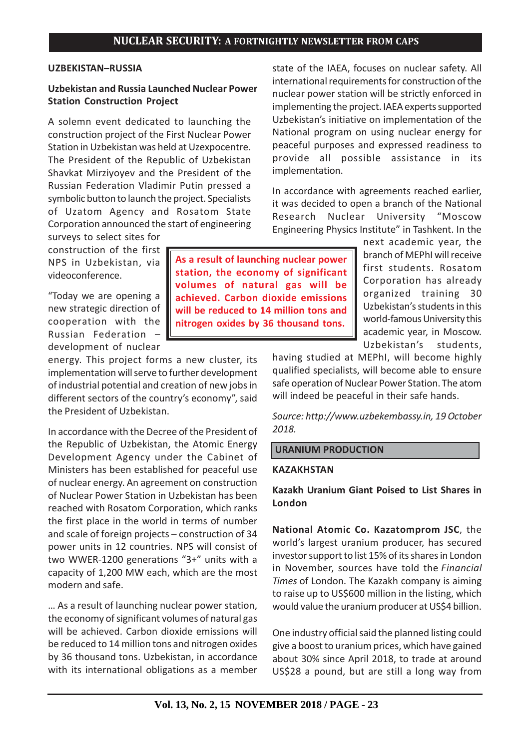### **UZBEKISTAN–RUSSIA**

## **Uzbekistan and Russia Launched Nuclear Power Station Construction Project**

A solemn event dedicated to launching the construction project of the First Nuclear Power Station in Uzbekistan was held at Uzexpocentre. The President of the Republic of Uzbekistan Shavkat Mirziyoyev and the President of the Russian Federation Vladimir Putin pressed a symbolic button to launch the project. Specialists of Uzatom Agency and Rosatom State Corporation announced the start of engineering

surveys to select sites for construction of the first NPS in Uzbekistan, via videoconference.

"Today we are opening a new strategic direction of cooperation with the Russian Federation – development of nuclear

energy. This project forms a new cluster, its implementation will serve to further development of industrial potential and creation of new jobs in different sectors of the country's economy", said the President of Uzbekistan.

In accordance with the Decree of the President of the Republic of Uzbekistan, the Atomic Energy Development Agency under the Cabinet of Ministers has been established for peaceful use of nuclear energy. An agreement on construction of Nuclear Power Station in Uzbekistan has been reached with Rosatom Corporation, which ranks the first place in the world in terms of number and scale of foreign projects – construction of 34 power units in 12 countries. NPS will consist of two WWER-1200 generations "3+" units with a capacity of 1,200 MW each, which are the most modern and safe.

… As a result of launching nuclear power station, the economy of significant volumes of natural gas will be achieved. Carbon dioxide emissions will be reduced to 14 million tons and nitrogen oxides by 36 thousand tons. Uzbekistan, in accordance with its international obligations as a member state of the IAEA, focuses on nuclear safety. All international requirements for construction of the nuclear power station will be strictly enforced in implementing the project. IAEA experts supported Uzbekistan's initiative on implementation of the National program on using nuclear energy for peaceful purposes and expressed readiness to provide all possible assistance in its implementation.

In accordance with agreements reached earlier, it was decided to open a branch of the National Research Nuclear University "Moscow Engineering Physics Institute" in Tashkent. In the

> next academic year, the branch of MEPhI will receive first students. Rosatom Corporation has already organized training 30 Uzbekistan's students in this world-famous University this academic year, in Moscow. Uzbekistan's students,

having studied at MEPhI, will become highly qualified specialists, will become able to ensure safe operation of Nuclear Power Station. The atom will indeed be peaceful in their safe hands.

*Source: http://www.uzbekembassy.in, 19 October 2018.*

### **URANIUM PRODUCTION**

### **KAZAKHSTAN**

**Kazakh Uranium Giant Poised to List Shares in London**

**National Atomic Co. Kazatomprom JSC**, the world's largest uranium producer, has secured investor support to list 15% of its shares in London in November, sources have told the *Financial Times* of London. The Kazakh company is aiming to raise up to US\$600 million in the listing, which would value the uranium producer at US\$4 billion.

One industry official said the planned listing could give a boost to uranium prices, which have gained about 30% since April 2018, to trade at around US\$28 a pound, but are still a long way from

**As a result of launching nuclear power station, the economy of significant volumes of natural gas will be achieved. Carbon dioxide emissions will be reduced to 14 million tons and nitrogen oxides by 36 thousand tons.**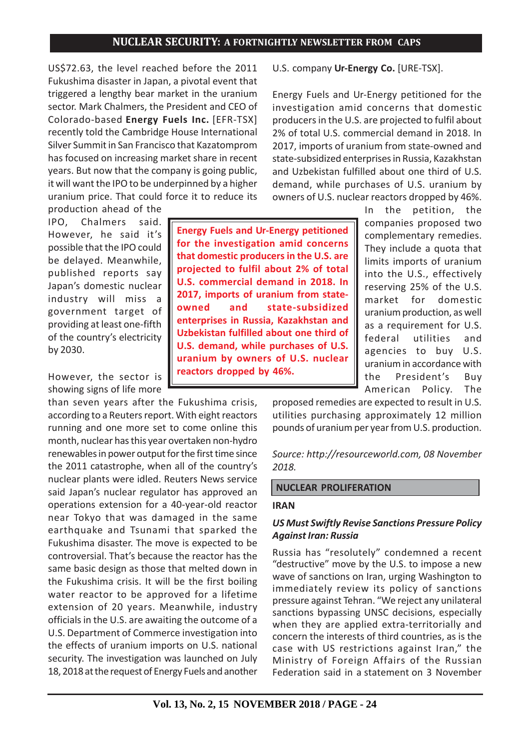US\$72.63, the level reached before the 2011 Fukushima disaster in Japan, a pivotal event that triggered a lengthy bear market in the uranium sector. Mark Chalmers, the President and CEO of Colorado-based **Energy Fuels Inc.** [EFR-TSX] recently told the Cambridge House International Silver Summit in San Francisco that Kazatomprom has focused on increasing market share in recent years. But now that the company is going public, it will want the IPO to be underpinned by a higher uranium price. That could force it to reduce its

production ahead of the IPO, Chalmers said. However, he said it's possible that the IPO could be delayed. Meanwhile, published reports say Japan's domestic nuclear industry will miss a government target of providing at least one-fifth of the country's electricity by 2030.

However, the sector is showing signs of life more

than seven years after the Fukushima crisis, according to a Reuters report. With eight reactors running and one more set to come online this month, nuclear has this year overtaken non-hydro renewables in power output for the first time since the 2011 catastrophe, when all of the country's nuclear plants were idled. Reuters News service said Japan's nuclear regulator has approved an operations extension for a 40-year-old reactor near Tokyo that was damaged in the same earthquake and Tsunami that sparked the Fukushima disaster. The move is expected to be controversial. That's because the reactor has the same basic design as those that melted down in the Fukushima crisis. It will be the first boiling water reactor to be approved for a lifetime extension of 20 years. Meanwhile, industry officials in the U.S. are awaiting the outcome of a U.S. Department of Commerce investigation into the effects of uranium imports on U.S. national security. The investigation was launched on July 18, 2018 at the request of Energy Fuels and another U.S. company **Ur-Energy Co.** [URE-TSX].

Energy Fuels and Ur-Energy petitioned for the investigation amid concerns that domestic producers in the U.S. are projected to fulfil about 2% of total U.S. commercial demand in 2018. In 2017, imports of uranium from state-owned and state-subsidized enterprises in Russia, Kazakhstan and Uzbekistan fulfilled about one third of U.S. demand, while purchases of U.S. uranium by owners of U.S. nuclear reactors dropped by 46%.

**Energy Fuels and Ur-Energy petitioned for the investigation amid concerns that domestic producers in the U.S. are projected to fulfil about 2% of total U.S. commercial demand in 2018. In 2017, imports of uranium from stateowned and state-subsidized enterprises in Russia, Kazakhstan and Uzbekistan fulfilled about one third of U.S. demand, while purchases of U.S. uranium by owners of U.S. nuclear reactors dropped by 46%.**

In the petition, the companies proposed two complementary remedies. They include a quota that limits imports of uranium into the U.S., effectively reserving 25% of the U.S. market for domestic uranium production, as well as a requirement for U.S. federal utilities and agencies to buy U.S. uranium in accordance with the President's Buy American Policy. The

proposed remedies are expected to result in U.S. utilities purchasing approximately 12 million pounds of uranium per year from U.S. production.

*Source: http://resourceworld.com, 08 November 2018.*

#### **NUCLEAR PROLIFERATION**

#### **IRAN**

#### *US Must Swiftly Revise Sanctions Pressure Policy Against Iran: Russia*

Russia has "resolutely" condemned a recent "destructive" move by the U.S. to impose a new wave of sanctions on Iran, urging Washington to immediately review its policy of sanctions pressure against Tehran. "We reject any unilateral sanctions bypassing UNSC decisions, especially when they are applied extra-territorially and concern the interests of third countries, as is the case with US restrictions against Iran," the Ministry of Foreign Affairs of the Russian Federation said in a statement on 3 November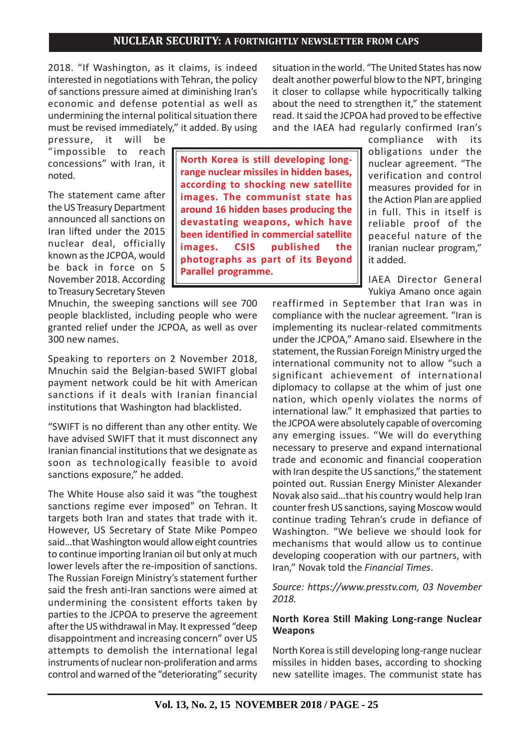2018. "If Washington, as it claims, is indeed interested in negotiations with Tehran, the policy of sanctions pressure aimed at diminishing Iran's economic and defense potential as well as undermining the internal political situation there must be revised immediately," it added. By using

pressure, it will be "impossible to reach concessions" with Iran, it noted.

The statement came after the US Treasury Department announced all sanctions on Iran lifted under the 2015 nuclear deal, officially known as the JCPOA, would be back in force on 5 November 2018. According to Treasury Secretary Steven

Mnuchin, the sweeping sanctions will see 700 people blacklisted, including people who were granted relief under the JCPOA, as well as over 300 new names.

Speaking to reporters on 2 November 2018, Mnuchin said the Belgian-based SWIFT global payment network could be hit with American sanctions if it deals with Iranian financial institutions that Washington had blacklisted.

"SWIFT is no different than any other entity. We have advised SWIFT that it must disconnect any Iranian financial institutions that we designate as soon as technologically feasible to avoid sanctions exposure," he added.

The White House also said it was "the toughest sanctions regime ever imposed" on Tehran. It targets both Iran and states that trade with it. However, US Secretary of State Mike Pompeo said…that Washington would allow eight countries to continue importing Iranian oil but only at much lower levels after the re-imposition of sanctions. The Russian Foreign Ministry's statement further said the fresh anti-Iran sanctions were aimed at undermining the consistent efforts taken by parties to the JCPOA to preserve the agreement after the US withdrawal in May. It expressed "deep disappointment and increasing concern" over US attempts to demolish the international legal instruments of nuclear non-proliferation and arms control and warned of the "deteriorating" security

**North Korea is still developing longrange nuclear missiles in hidden bases, according to shocking new satellite images. The communist state has around 16 hidden bases producing the devastating weapons, which have been identified in commercial satellite images. CSIS published the photographs as part of its Beyond Parallel programme.**

situation in the world. "The United States has now dealt another powerful blow to the NPT, bringing it closer to collapse while hypocritically talking about the need to strengthen it," the statement read. It said the JCPOA had proved to be effective and the IAEA had regularly confirmed Iran's

> compliance with its obligations under the nuclear agreement. "The verification and control measures provided for in the Action Plan are applied in full. This in itself is reliable proof of the peaceful nature of the Iranian nuclear program," it added.

> IAEA Director General Yukiya Amano once again

reaffirmed in September that Iran was in compliance with the nuclear agreement. "Iran is implementing its nuclear-related commitments under the JCPOA," Amano said. Elsewhere in the statement, the Russian Foreign Ministry urged the international community not to allow "such a significant achievement of international diplomacy to collapse at the whim of just one nation, which openly violates the norms of international law." It emphasized that parties to the JCPOA were absolutely capable of overcoming any emerging issues. "We will do everything necessary to preserve and expand international trade and economic and financial cooperation with Iran despite the US sanctions," the statement pointed out. Russian Energy Minister Alexander Novak also said…that his country would help Iran counter fresh US sanctions, saying Moscow would continue trading Tehran's crude in defiance of Washington. "We believe we should look for mechanisms that would allow us to continue developing cooperation with our partners, with Iran," Novak told the *Financial Times*.

*Source: https://www.presstv.com, 03 November 2018.*

### **North Korea Still Making Long-range Nuclear Weapons**

North Korea is still developing long-range nuclear missiles in hidden bases, according to shocking new satellite images. The communist state has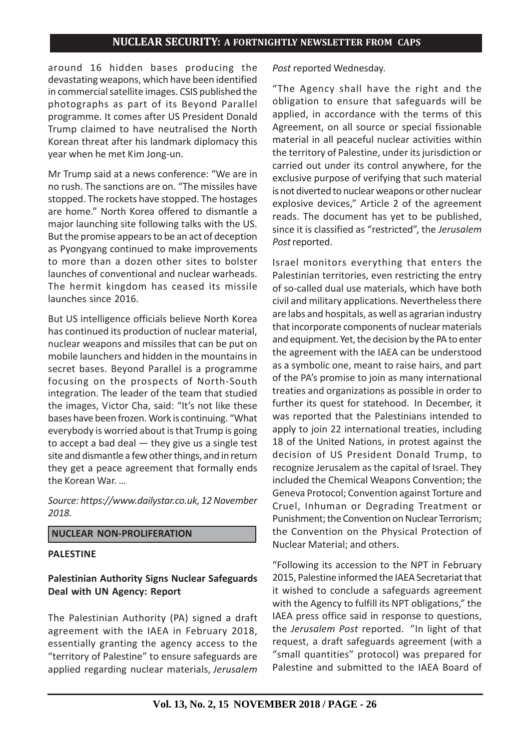around 16 hidden bases producing the devastating weapons, which have been identified in commercial satellite images. CSIS published the photographs as part of its Beyond Parallel programme. It comes after US President Donald Trump claimed to have neutralised the North Korean threat after his landmark diplomacy this year when he met Kim Jong-un.

Mr Trump said at a news conference: "We are in no rush. The sanctions are on. "The missiles have stopped. The rockets have stopped. The hostages are home." North Korea offered to dismantle a major launching site following talks with the US. But the promise appears to be an act of deception as Pyongyang continued to make improvements to more than a dozen other sites to bolster launches of conventional and nuclear warheads. The hermit kingdom has ceased its missile launches since 2016.

But US intelligence officials believe North Korea has continued its production of nuclear material, nuclear weapons and missiles that can be put on mobile launchers and hidden in the mountains in secret bases. Beyond Parallel is a programme focusing on the prospects of North-South integration. The leader of the team that studied the images, Victor Cha, said: "It's not like these bases have been frozen. Work is continuing. "What everybody is worried about is that Trump is going to accept a bad deal — they give us a single test site and dismantle a few other things, and in return they get a peace agreement that formally ends the Korean War. …

*Source: https://www.dailystar.co.uk, 12 November 2018.*

### **NUCLEAR NON-PROLIFERATION**

#### **PALESTINE**

## **Palestinian Authority Signs Nuclear Safeguards Deal with UN Agency: Report**

The Palestinian Authority (PA) signed a draft agreement with the IAEA in February 2018, essentially granting the agency access to the "territory of Palestine" to ensure safeguards are applied regarding nuclear materials, *Jerusalem*

#### *Post* reported Wednesday.

"The Agency shall have the right and the obligation to ensure that safeguards will be applied, in accordance with the terms of this Agreement, on all source or special fissionable material in all peaceful nuclear activities within the territory of Palestine, under its jurisdiction or carried out under its control anywhere, for the exclusive purpose of verifying that such material is not diverted to nuclear weapons or other nuclear explosive devices," Article 2 of the agreement reads. The document has yet to be published, since it is classified as "restricted", the *Jerusalem Post* reported.

Israel monitors everything that enters the Palestinian territories, even restricting the entry of so-called dual use materials, which have both civil and military applications. Nevertheless there are labs and hospitals, as well as agrarian industry that incorporate components of nuclear materials and equipment. Yet, the decision by the PA to enter the agreement with the IAEA can be understood as a symbolic one, meant to raise hairs, and part of the PA's promise to join as many international treaties and organizations as possible in order to further its quest for statehood. In December, it was reported that the Palestinians intended to apply to join 22 international treaties, including 18 of the United Nations, in protest against the decision of US President Donald Trump, to recognize Jerusalem as the capital of Israel. They included the Chemical Weapons Convention; the Geneva Protocol; Convention against Torture and Cruel, Inhuman or Degrading Treatment or Punishment; the Convention on Nuclear Terrorism; the Convention on the Physical Protection of Nuclear Material; and others.

"Following its accession to the NPT in February 2015, Palestine informed the IAEA Secretariat that it wished to conclude a safeguards agreement with the Agency to fulfill its NPT obligations," the IAEA press office said in response to questions, the *Jerusalem Post* reported. "In light of that request, a draft safeguards agreement (with a "small quantities" protocol) was prepared for Palestine and submitted to the IAEA Board of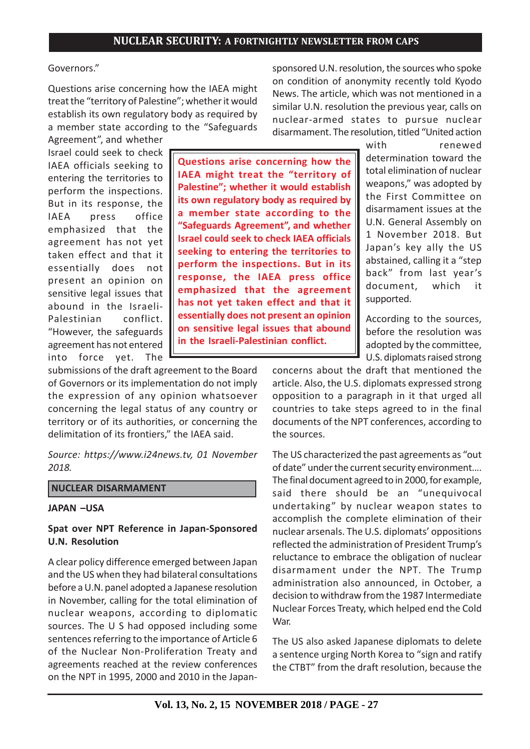### Governors."

Questions arise concerning how the IAEA might treat the "territory of Palestine"; whether it would establish its own regulatory body as required by a member state according to the "Safeguards

Agreement", and whether Israel could seek to check IAEA officials seeking to entering the territories to perform the inspections. But in its response, the IAEA press office emphasized that the agreement has not yet taken effect and that it essentially does not present an opinion on sensitive legal issues that abound in the Israeli-Palestinian conflict. "However, the safeguards agreement has not entered into force yet. The

**Questions arise concerning how the IAEA might treat the "territory of Palestine"; whether it would establish its own regulatory body as required by a member state according to the "Safeguards Agreement", and whether Israel could seek to check IAEA officials seeking to entering the territories to perform the inspections. But in its response, the IAEA press office emphasized that the agreement has not yet taken effect and that it essentially does not present an opinion on sensitive legal issues that abound in the Israeli-Palestinian conflict.**

submissions of the draft agreement to the Board of Governors or its implementation do not imply the expression of any opinion whatsoever concerning the legal status of any country or territory or of its authorities, or concerning the delimitation of its frontiers," the IAEA said.

*Source: https://www.i24news.tv, 01 November 2018.*

### **NUCLEAR DISARMAMENT**

#### **JAPAN –USA**

### **Spat over NPT Reference in Japan-Sponsored U.N. Resolution**

A clear policy difference emerged between Japan and the US when they had bilateral consultations before a U.N. panel adopted a Japanese resolution in November, calling for the total elimination of nuclear weapons, according to diplomatic sources. The U S had opposed including some sentences referring to the importance of Article 6 of the Nuclear Non-Proliferation Treaty and agreements reached at the review conferences on the NPT in 1995, 2000 and 2010 in the Japansponsored U.N. resolution, the sources who spoke on condition of anonymity recently told Kyodo News. The article, which was not mentioned in a similar U.N. resolution the previous year, calls on nuclear-armed states to pursue nuclear disarmament. The resolution, titled "United action

determination toward the total elimination of nuclear weapons," was adopted by the First Committee on disarmament issues at the U.N. General Assembly on 1 November 2018. But Japan's key ally the US abstained, calling it a "step back" from last year's document, which it

supported. According to the sources, before the resolution was adopted by the committee,

U.S. diplomats raised strong

with renewed

concerns about the draft that mentioned the article. Also, the U.S. diplomats expressed strong opposition to a paragraph in it that urged all countries to take steps agreed to in the final documents of the NPT conferences, according to the sources.

The US characterized the past agreements as "out of date" under the current security environment…. The final document agreed to in 2000, for example, said there should be an "unequivocal undertaking" by nuclear weapon states to accomplish the complete elimination of their nuclear arsenals. The U.S. diplomats' oppositions reflected the administration of President Trump's reluctance to embrace the obligation of nuclear disarmament under the NPT. The Trump administration also announced, in October, a decision to withdraw from the 1987 Intermediate Nuclear Forces Treaty, which helped end the Cold War.

The US also asked Japanese diplomats to delete a sentence urging North Korea to "sign and ratify the CTBT" from the draft resolution, because the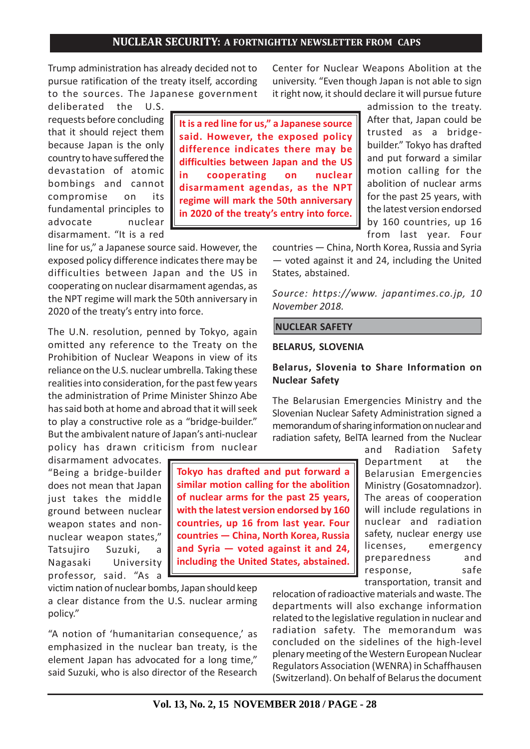Trump administration has already decided not to pursue ratification of the treaty itself, according to the sources. The Japanese government

deliberated the U.S. requests before concluding that it should reject them because Japan is the only country to have suffered the devastation of atomic bombings and cannot compromise on its fundamental principles to advocate nuclear disarmament. "It is a red

line for us," a Japanese source said. However, the exposed policy difference indicates there may be difficulties between Japan and the US in cooperating on nuclear disarmament agendas, as the NPT regime will mark the 50th anniversary in 2020 of the treaty's entry into force.

The U.N. resolution, penned by Tokyo, again omitted any reference to the Treaty on the Prohibition of Nuclear Weapons in view of its reliance on the U.S. nuclear umbrella. Taking these realities into consideration, for the past few years the administration of Prime Minister Shinzo Abe has said both at home and abroad that it will seek to play a constructive role as a "bridge-builder." But the ambivalent nature of Japan's anti-nuclear policy has drawn criticism from nuclear

disarmament advocates. "Being a bridge-builder does not mean that Japan just takes the middle ground between nuclear weapon states and nonnuclear weapon states," Tatsujiro Suzuki, a Nagasaki University professor, said. "As a

victim nation of nuclear bombs, Japan should keep a clear distance from the U.S. nuclear arming policy."

"A notion of 'humanitarian consequence,' as emphasized in the nuclear ban treaty, is the element Japan has advocated for a long time," said Suzuki, who is also director of the Research

**It is a red line for us," a Japanese source said. However, the exposed policy difference indicates there may be difficulties between Japan and the US in cooperating on nuclear disarmament agendas, as the NPT regime will mark the 50th anniversary in 2020 of the treaty's entry into force.**

Center for Nuclear Weapons Abolition at the university. "Even though Japan is not able to sign it right now, it should declare it will pursue future admission to the treaty.

After that, Japan could be trusted as a bridgebuilder." Tokyo has drafted and put forward a similar motion calling for the abolition of nuclear arms for the past 25 years, with the latest version endorsed by 160 countries, up 16 from last year. Four

countries — China, North Korea, Russia and Syria — voted against it and 24, including the United States, abstained.

*Source: https://www. japantimes.co.jp, 10 November 2018.*

#### **NUCLEAR SAFETY**

#### **BELARUS, SLOVENIA**

### **Belarus, Slovenia to Share Information on Nuclear Safety**

The Belarusian Emergencies Ministry and the Slovenian Nuclear Safety Administration signed a memorandum of sharing information on nuclear and radiation safety, BelTA learned from the Nuclear

> and Radiation Safety Department at the Belarusian Emergencies Ministry (Gosatomnadzor). The areas of cooperation will include regulations in nuclear and radiation safety, nuclear energy use licenses, emergency preparedness and response, safe transportation, transit and

relocation of radioactive materials and waste. The departments will also exchange information related to the legislative regulation in nuclear and radiation safety. The memorandum was concluded on the sidelines of the high-level plenary meeting of the Western European Nuclear Regulators Association (WENRA) in Schaffhausen (Switzerland). On behalf of Belarus the document

**Tokyo has drafted and put forward a similar motion calling for the abolition of nuclear arms for the past 25 years, with the latest version endorsed by 160 countries, up 16 from last year. Four countries — China, North Korea, Russia and Syria — voted against it and 24, including the United States, abstained.**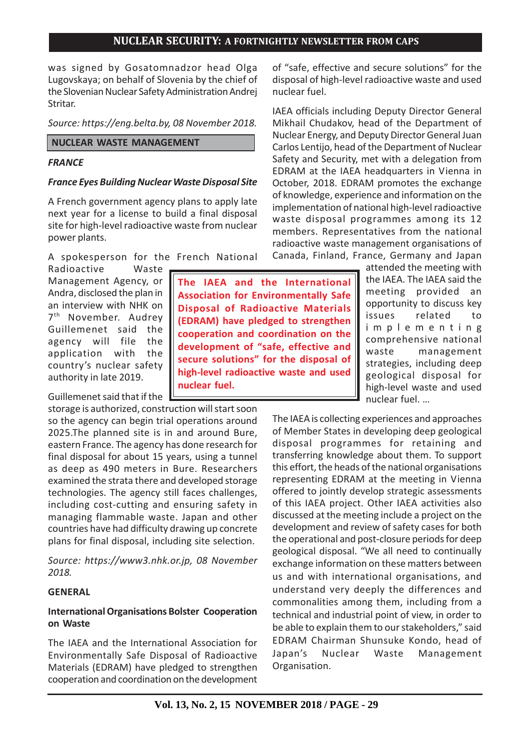was signed by Gosatomnadzor head Olga Lugovskaya; on behalf of Slovenia by the chief of the Slovenian Nuclear Safety Administration Andrej Stritar.

*Source: https://eng.belta.by, 08 November 2018.*

### **NUCLEAR WASTE MANAGEMENT**

## *FRANCE*

## *France Eyes Building Nuclear Waste Disposal Site*

A French government agency plans to apply late next year for a license to build a final disposal site for high-level radioactive waste from nuclear power plants.

A spokesperson for the French National

Radioactive Waste Management Agency, or Andra, disclosed the plan in an interview with NHK on 7<sup>th</sup> November. Audrey Guillemenet said the agency will file the application with the country's nuclear safety authority in late 2019.

Guillemenet said that if the

storage is authorized, construction will start soon so the agency can begin trial operations around 2025.The planned site is in and around Bure, eastern France. The agency has done research for final disposal for about 15 years, using a tunnel as deep as 490 meters in Bure. Researchers examined the strata there and developed storage technologies. The agency still faces challenges, including cost-cutting and ensuring safety in managing flammable waste. Japan and other countries have had difficulty drawing up concrete plans for final disposal, including site selection.

*Source: https://www3.nhk.or.jp, 08 November 2018.*

# **GENERAL**

# **International Organisations Bolster Cooperation on Waste**

The IAEA and the International Association for Environmentally Safe Disposal of Radioactive Materials (EDRAM) have pledged to strengthen cooperation and coordination on the development

of "safe, effective and secure solutions" for the disposal of high-level radioactive waste and used nuclear fuel.

IAEA officials including Deputy Director General Mikhail Chudakov, head of the Department of Nuclear Energy, and Deputy Director General Juan Carlos Lentijo, head of the Department of Nuclear Safety and Security, met with a delegation from EDRAM at the IAEA headquarters in Vienna in October, 2018. EDRAM promotes the exchange of knowledge, experience and information on the implementation of national high-level radioactive waste disposal programmes among its 12 members. Representatives from the national radioactive waste management organisations of Canada, Finland, France, Germany and Japan

> attended the meeting with the IAEA. The IAEA said the meeting provided an opportunity to discuss key issues related to implementing comprehensive national waste management strategies, including deep geological disposal for high-level waste and used nuclear fuel. …

The IAEA is collecting experiences and approaches of Member States in developing deep geological disposal programmes for retaining and transferring knowledge about them. To support this effort, the heads of the national organisations representing EDRAM at the meeting in Vienna offered to jointly develop strategic assessments of this IAEA project. Other IAEA activities also discussed at the meeting include a project on the development and review of safety cases for both the operational and post-closure periods for deep geological disposal. "We all need to continually exchange information on these matters between us and with international organisations, and understand very deeply the differences and commonalities among them, including from a technical and industrial point of view, in order to be able to explain them to our stakeholders," said EDRAM Chairman Shunsuke Kondo, head of Japan's Nuclear Waste Management Organisation.

**The IAEA and the International Association for Environmentally Safe Disposal of Radioactive Materials (EDRAM) have pledged to strengthen cooperation and coordination on the development of "safe, effective and secure solutions" for the disposal of high-level radioactive waste and used nuclear fuel.**